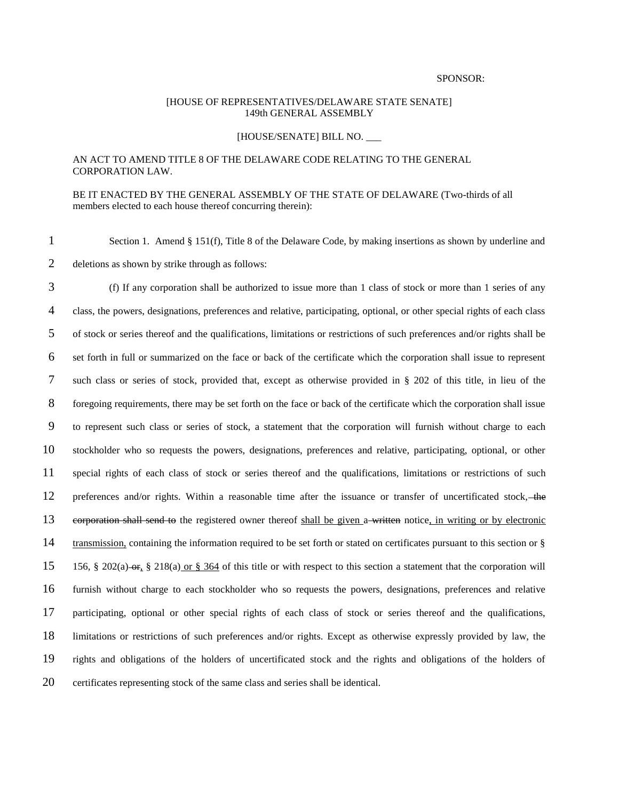### SPONSOR:

### [HOUSE OF REPRESENTATIVES/DELAWARE STATE SENATE] 149th GENERAL ASSEMBLY

### [HOUSE/SENATE] BILL NO. \_\_\_

## AN ACT TO AMEND TITLE 8 OF THE DELAWARE CODE RELATING TO THE GENERAL CORPORATION LAW.

## BE IT ENACTED BY THE GENERAL ASSEMBLY OF THE STATE OF DELAWARE (Two-thirds of all members elected to each house thereof concurring therein):

 Section 1. Amend § 151(f), Title 8 of the Delaware Code, by making insertions as shown by underline and deletions as shown by strike through as follows:

 (f) If any corporation shall be authorized to issue more than 1 class of stock or more than 1 series of any class, the powers, designations, preferences and relative, participating, optional, or other special rights of each class of stock or series thereof and the qualifications, limitations or restrictions of such preferences and/or rights shall be set forth in full or summarized on the face or back of the certificate which the corporation shall issue to represent such class or series of stock, provided that, except as otherwise provided in § 202 of this title, in lieu of the foregoing requirements, there may be set forth on the face or back of the certificate which the corporation shall issue to represent such class or series of stock, a statement that the corporation will furnish without charge to each stockholder who so requests the powers, designations, preferences and relative, participating, optional, or other special rights of each class of stock or series thereof and the qualifications, limitations or restrictions of such 12 preferences and/or rights. Within a reasonable time after the issuance or transfer of uncertificated stock, the 13 e<del>orporation shall send to</del> the registered owner thereof shall be given a written notice, in writing or by electronic transmission, containing the information required to be set forth or stated on certificates pursuant to this section or § 15 156, § 202(a)- $\sigma$ r, § 218(a) or § 364 of this title or with respect to this section a statement that the corporation will furnish without charge to each stockholder who so requests the powers, designations, preferences and relative participating, optional or other special rights of each class of stock or series thereof and the qualifications, limitations or restrictions of such preferences and/or rights. Except as otherwise expressly provided by law, the rights and obligations of the holders of uncertificated stock and the rights and obligations of the holders of certificates representing stock of the same class and series shall be identical.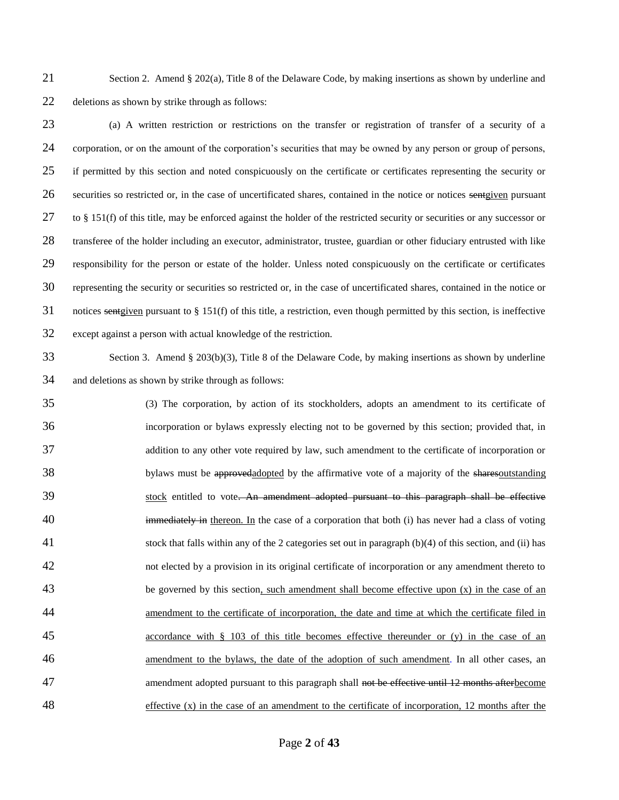Section 2. Amend § 202(a), Title 8 of the Delaware Code, by making insertions as shown by underline and deletions as shown by strike through as follows:

23 (a) A written restriction or restrictions on the transfer or registration of transfer of a security of a corporation, or on the amount of the corporation's securities that may be owned by any person or group of persons, if permitted by this section and noted conspicuously on the certificate or certificates representing the security or 26 securities so restricted or, in the case of uncertificated shares, contained in the notice or notices sentgiven pursuant to § 151(f) of this title, may be enforced against the holder of the restricted security or securities or any successor or transferee of the holder including an executor, administrator, trustee, guardian or other fiduciary entrusted with like responsibility for the person or estate of the holder. Unless noted conspicuously on the certificate or certificates representing the security or securities so restricted or, in the case of uncertificated shares, contained in the notice or notices sentgiven pursuant to § 151(f) of this title, a restriction, even though permitted by this section, is ineffective except against a person with actual knowledge of the restriction.

## Section 3. Amend § 203(b)(3), Title 8 of the Delaware Code, by making insertions as shown by underline and deletions as shown by strike through as follows:

 (3) The corporation, by action of its stockholders, adopts an amendment to its certificate of incorporation or bylaws expressly electing not to be governed by this section; provided that, in addition to any other vote required by law, such amendment to the certificate of incorporation or 38 bylaws must be approveded by the affirmative vote of a majority of the sharesoutstanding 39 stock entitled to vote. An amendment adopted pursuant to this paragraph shall be effective **immediately in** thereon. In the case of a corporation that both (i) has never had a class of voting stock that falls within any of the 2 categories set out in paragraph (b)(4) of this section, and (ii) has not elected by a provision in its original certificate of incorporation or any amendment thereto to be governed by this section, such amendment shall become effective upon (x) in the case of an amendment to the certificate of incorporation, the date and time at which the certificate filed in accordance with § 103 of this title becomes effective thereunder or (y) in the case of an 46 amendment to the bylaws, the date of the adoption of such amendment. In all other cases, an 47 amendment adopted pursuant to this paragraph shall not be effective until 12 months afterbecome effective (x) in the case of an amendment to the certificate of incorporation, 12 months after the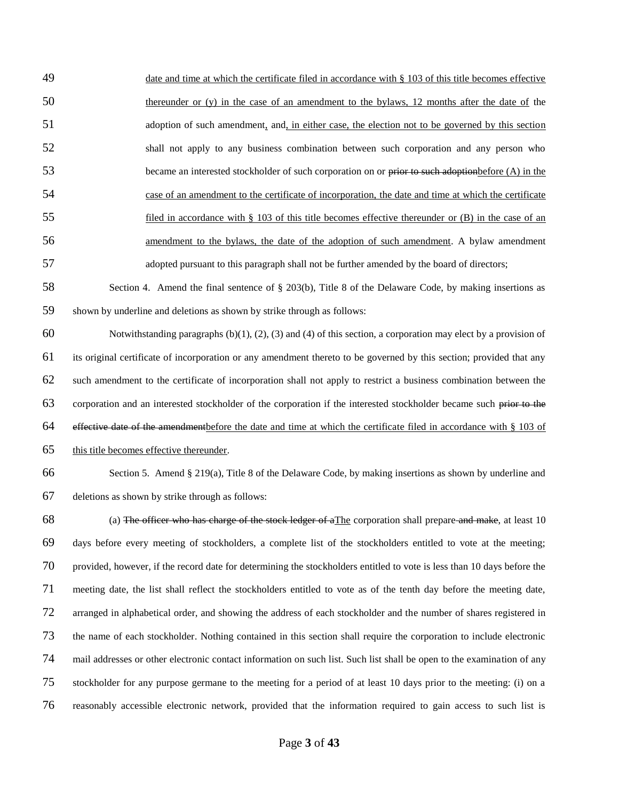date and time at which the certificate filed in accordance with § 103 of this title becomes effective thereunder or (y) in the case of an amendment to the bylaws, 12 months after the date of the 51 adoption of such amendment, and, in either case, the election not to be governed by this section shall not apply to any business combination between such corporation and any person who 53 became an interested stockholder of such corporation on or prior to such adoptionbefore (A) in the case of an amendment to the certificate of incorporation, the date and time at which the certificate filed in accordance with § 103 of this title becomes effective thereunder or (B) in the case of an amendment to the bylaws, the date of the adoption of such amendment. A bylaw amendment 57 adopted pursuant to this paragraph shall not be further amended by the board of directors;

 Section 4. Amend the final sentence of § 203(b), Title 8 of the Delaware Code, by making insertions as shown by underline and deletions as shown by strike through as follows:

60 Notwithstanding paragraphs  $(b)(1)$ ,  $(2)$ ,  $(3)$  and  $(4)$  of this section, a corporation may elect by a provision of its original certificate of incorporation or any amendment thereto to be governed by this section; provided that any such amendment to the certificate of incorporation shall not apply to restrict a business combination between the 63 corporation and an interested stockholder of the corporation if the interested stockholder became such prior to the 64 effective date of the amendment before the date and time at which the certificate filed in accordance with  $\S$  103 of this title becomes effective thereunder.

 Section 5. Amend § 219(a), Title 8 of the Delaware Code, by making insertions as shown by underline and deletions as shown by strike through as follows:

68 (a) The officer who has charge of the stock ledger of aThe corporation shall prepare and make, at least 10 days before every meeting of stockholders, a complete list of the stockholders entitled to vote at the meeting; provided, however, if the record date for determining the stockholders entitled to vote is less than 10 days before the meeting date, the list shall reflect the stockholders entitled to vote as of the tenth day before the meeting date, arranged in alphabetical order, and showing the address of each stockholder and the number of shares registered in the name of each stockholder. Nothing contained in this section shall require the corporation to include electronic mail addresses or other electronic contact information on such list. Such list shall be open to the examination of any stockholder for any purpose germane to the meeting for a period of at least 10 days prior to the meeting: (i) on a reasonably accessible electronic network, provided that the information required to gain access to such list is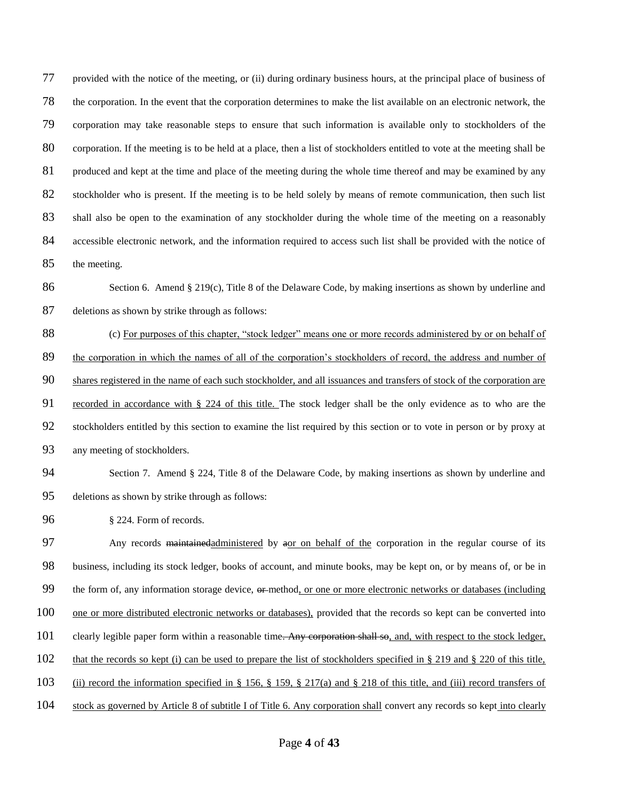provided with the notice of the meeting, or (ii) during ordinary business hours, at the principal place of business of the corporation. In the event that the corporation determines to make the list available on an electronic network, the corporation may take reasonable steps to ensure that such information is available only to stockholders of the corporation. If the meeting is to be held at a place, then a list of stockholders entitled to vote at the meeting shall be produced and kept at the time and place of the meeting during the whole time thereof and may be examined by any stockholder who is present. If the meeting is to be held solely by means of remote communication, then such list shall also be open to the examination of any stockholder during the whole time of the meeting on a reasonably accessible electronic network, and the information required to access such list shall be provided with the notice of the meeting.

86 Section 6. Amend § 219(c), Title 8 of the Delaware Code, by making insertions as shown by underline and deletions as shown by strike through as follows:

88 (c) For purposes of this chapter, "stock ledger" means one or more records administered by or on behalf of the corporation in which the names of all of the corporation's stockholders of record, the address and number of shares registered in the name of each such stockholder, and all issuances and transfers of stock of the corporation are recorded in accordance with § 224 of this title. The stock ledger shall be the only evidence as to who are the stockholders entitled by this section to examine the list required by this section or to vote in person or by proxy at any meeting of stockholders.

## Section 7. Amend § 224, Title 8 of the Delaware Code, by making insertions as shown by underline and deletions as shown by strike through as follows:

§ 224. Form of records.

 Any records maintainedadministered by aor on behalf of the corporation in the regular course of its business, including its stock ledger, books of account, and minute books, may be kept on, or by means of, or be in 99 the form of, any information storage device,  $\theta$ -method, or one or more electronic networks or databases (including one or more distributed electronic networks or databases), provided that the records so kept can be converted into 101 clearly legible paper form within a reasonable time. Any corporation shall so, and, with respect to the stock ledger, that the records so kept (i) can be used to prepare the list of stockholders specified in § 219 and § 220 of this title, (ii) record the information specified in § 156, § 159, § 217(a) and § 218 of this title, and (iii) record transfers of 104 stock as governed by Article 8 of subtitle I of Title 6. Any corporation shall convert any records so kept into clearly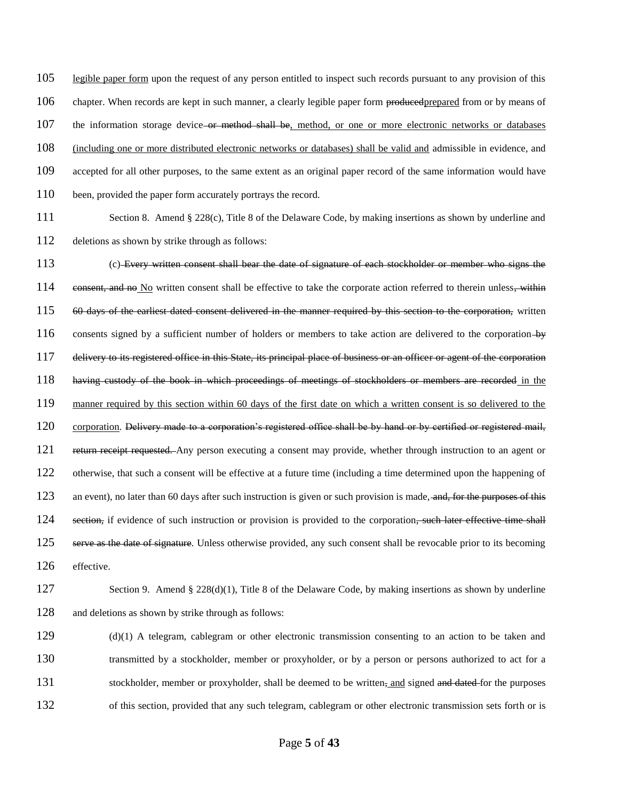105 legible paper form upon the request of any person entitled to inspect such records pursuant to any provision of this 106 chapter. When records are kept in such manner, a clearly legible paper form produced prepared from or by means of 107 the information storage device or method shall be, method, or one or more electronic networks or databases 108 (including one or more distributed electronic networks or databases) shall be valid and admissible in evidence, and 109 accepted for all other purposes, to the same extent as an original paper record of the same information would have 110 been, provided the paper form accurately portrays the record.

111 Section 8. Amend § 228(c), Title 8 of the Delaware Code, by making insertions as shown by underline and 112 deletions as shown by strike through as follows:

113 (c) Every written consent shall bear the date of signature of each stockholder or member who signs the 114 eonsent, and no Wo written consent shall be effective to take the corporate action referred to therein unless, within 115 60 days of the earliest dated consent delivered in the manner required by this section to the corporation, written 116 consents signed by a sufficient number of holders or members to take action are delivered to the corporation by 117 delivery to its registered office in this State, its principal place of business or an officer or agent of the corporation 118 having custody of the book in which proceedings of meetings of stockholders or members are recorded in the 119 manner required by this section within 60 days of the first date on which a written consent is so delivered to the 120 corporation. Delivery made to a corporation's registered office shall be by hand or by certified or registered mail, 121 return receipt requested. Any person executing a consent may provide, whether through instruction to an agent or 122 otherwise, that such a consent will be effective at a future time (including a time determined upon the happening of 123 an event), no later than 60 days after such instruction is given or such provision is made, and, for the purposes of this 124 section, if evidence of such instruction or provision is provided to the corporation, such later effective time shall 125 serve as the date of signature. Unless otherwise provided, any such consent shall be revocable prior to its becoming 126 effective.

## 127 Section 9. Amend § 228(d)(1), Title 8 of the Delaware Code, by making insertions as shown by underline 128 and deletions as shown by strike through as follows:

129 (d)(1) A telegram, cablegram or other electronic transmission consenting to an action to be taken and 130 transmitted by a stockholder, member or proxyholder, or by a person or persons authorized to act for a 131 stockholder, member or proxyholder, shall be deemed to be written, and signed and dated for the purposes 132 of this section, provided that any such telegram, cablegram or other electronic transmission sets forth or is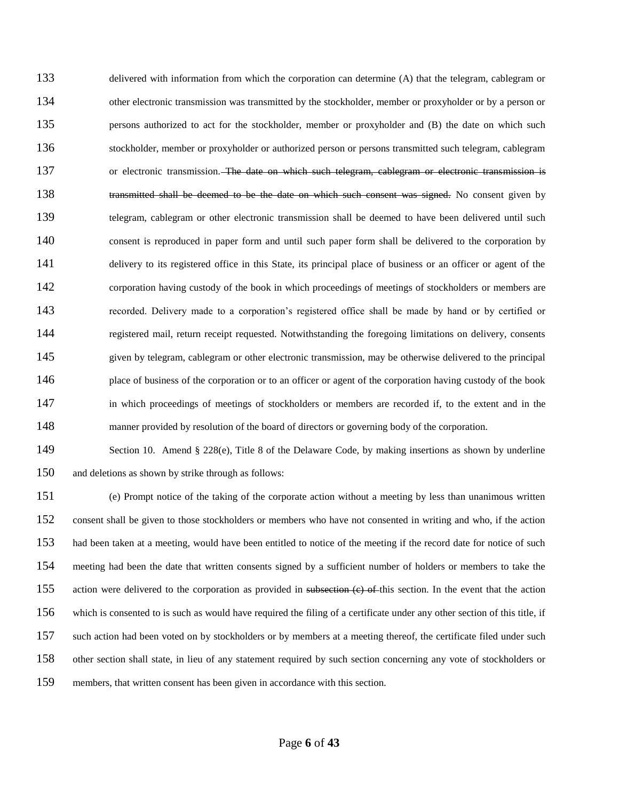delivered with information from which the corporation can determine (A) that the telegram, cablegram or other electronic transmission was transmitted by the stockholder, member or proxyholder or by a person or persons authorized to act for the stockholder, member or proxyholder and (B) the date on which such stockholder, member or proxyholder or authorized person or persons transmitted such telegram, cablegram 137 or electronic transmission. The date on which such telegram, cablegram or electronic transmission is 138 transmitted shall be deemed to be the date on which such consent was signed. No consent given by telegram, cablegram or other electronic transmission shall be deemed to have been delivered until such consent is reproduced in paper form and until such paper form shall be delivered to the corporation by delivery to its registered office in this State, its principal place of business or an officer or agent of the corporation having custody of the book in which proceedings of meetings of stockholders or members are recorded. Delivery made to a corporation's registered office shall be made by hand or by certified or 144 registered mail, return receipt requested. Notwithstanding the foregoing limitations on delivery, consents given by telegram, cablegram or other electronic transmission, may be otherwise delivered to the principal 146 place of business of the corporation or to an officer or agent of the corporation having custody of the book 147 in which proceedings of meetings of stockholders or members are recorded if, to the extent and in the manner provided by resolution of the board of directors or governing body of the corporation.

 Section 10. Amend § 228(e), Title 8 of the Delaware Code, by making insertions as shown by underline and deletions as shown by strike through as follows:

 (e) Prompt notice of the taking of the corporate action without a meeting by less than unanimous written consent shall be given to those stockholders or members who have not consented in writing and who, if the action had been taken at a meeting, would have been entitled to notice of the meeting if the record date for notice of such meeting had been the date that written consents signed by a sufficient number of holders or members to take the 155 action were delivered to the corporation as provided in subsection  $(e)$  of this section. In the event that the action which is consented to is such as would have required the filing of a certificate under any other section of this title, if 157 such action had been voted on by stockholders or by members at a meeting thereof, the certificate filed under such other section shall state, in lieu of any statement required by such section concerning any vote of stockholders or members, that written consent has been given in accordance with this section.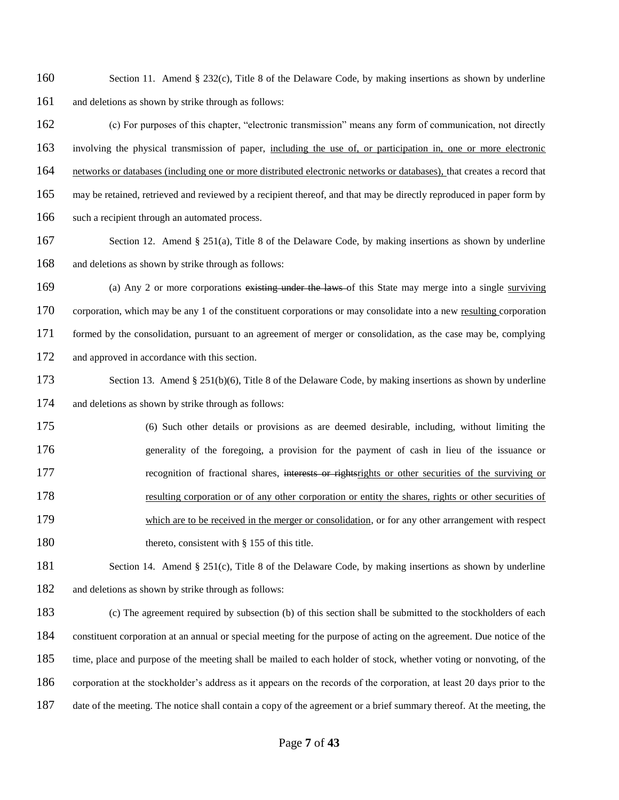Section 11. Amend § 232(c), Title 8 of the Delaware Code, by making insertions as shown by underline and deletions as shown by strike through as follows:

 (c) For purposes of this chapter, "electronic transmission" means any form of communication, not directly involving the physical transmission of paper, including the use of, or participation in, one or more electronic networks or databases (including one or more distributed electronic networks or databases), that creates a record that 165 may be retained, retrieved and reviewed by a recipient thereof, and that may be directly reproduced in paper form by 166 such a recipient through an automated process.

167 Section 12. Amend § 251(a), Title 8 of the Delaware Code, by making insertions as shown by underline 168 and deletions as shown by strike through as follows:

169 (a) Any 2 or more corporations existing under the laws of this State may merge into a single surviving corporation, which may be any 1 of the constituent corporations or may consolidate into a new resulting corporation formed by the consolidation, pursuant to an agreement of merger or consolidation, as the case may be, complying 172 and approved in accordance with this section.

 Section 13. Amend § 251(b)(6), Title 8 of the Delaware Code, by making insertions as shown by underline and deletions as shown by strike through as follows:

 (6) Such other details or provisions as are deemed desirable, including, without limiting the generality of the foregoing, a provision for the payment of cash in lieu of the issuance or 177 recognition of fractional shares, interests or rightsrights or other securities of the surviving or resulting corporation or of any other corporation or entity the shares, rights or other securities of which are to be received in the merger or consolidation, or for any other arrangement with respect 180 thereto, consistent with § 155 of this title.

181 Section 14. Amend § 251(c), Title 8 of the Delaware Code, by making insertions as shown by underline and deletions as shown by strike through as follows:

 (c) The agreement required by subsection (b) of this section shall be submitted to the stockholders of each constituent corporation at an annual or special meeting for the purpose of acting on the agreement. Due notice of the time, place and purpose of the meeting shall be mailed to each holder of stock, whether voting or nonvoting, of the corporation at the stockholder's address as it appears on the records of the corporation, at least 20 days prior to the 187 date of the meeting. The notice shall contain a copy of the agreement or a brief summary thereof. At the meeting, the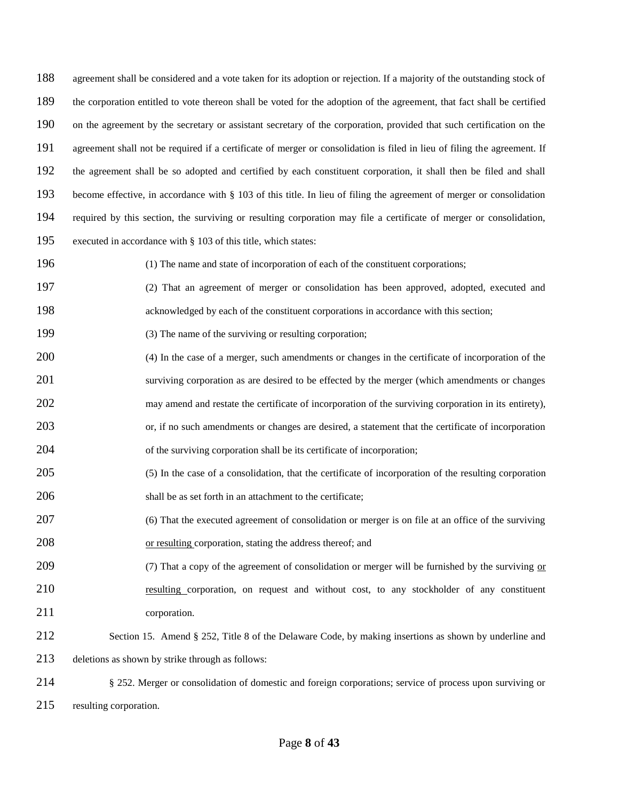agreement shall be considered and a vote taken for its adoption or rejection. If a majority of the outstanding stock of the corporation entitled to vote thereon shall be voted for the adoption of the agreement, that fact shall be certified on the agreement by the secretary or assistant secretary of the corporation, provided that such certification on the agreement shall not be required if a certificate of merger or consolidation is filed in lieu of filing the agreement. If the agreement shall be so adopted and certified by each constituent corporation, it shall then be filed and shall become effective, in accordance with § 103 of this title. In lieu of filing the agreement of merger or consolidation required by this section, the surviving or resulting corporation may file a certificate of merger or consolidation, executed in accordance with § 103 of this title, which states:

- (1) The name and state of incorporation of each of the constituent corporations;
- (2) That an agreement of merger or consolidation has been approved, adopted, executed and acknowledged by each of the constituent corporations in accordance with this section;
- (3) The name of the surviving or resulting corporation;
- (4) In the case of a merger, such amendments or changes in the certificate of incorporation of the surviving corporation as are desired to be effected by the merger (which amendments or changes 202 may amend and restate the certificate of incorporation of the surviving corporation in its entirety),
- or, if no such amendments or changes are desired, a statement that the certificate of incorporation
- of the surviving corporation shall be its certificate of incorporation;
- (5) In the case of a consolidation, that the certificate of incorporation of the resulting corporation 206 shall be as set forth in an attachment to the certificate:
- (6) That the executed agreement of consolidation or merger is on file at an office of the surviving 208 or resulting corporation, stating the address thereof; and
- 209 (7) That a copy of the agreement of consolidation or merger will be furnished by the surviving or resulting corporation, on request and without cost, to any stockholder of any constituent 211 corporation.
- Section 15. Amend § 252, Title 8 of the Delaware Code, by making insertions as shown by underline and deletions as shown by strike through as follows:
- § 252. Merger or consolidation of domestic and foreign corporations; service of process upon surviving or resulting corporation.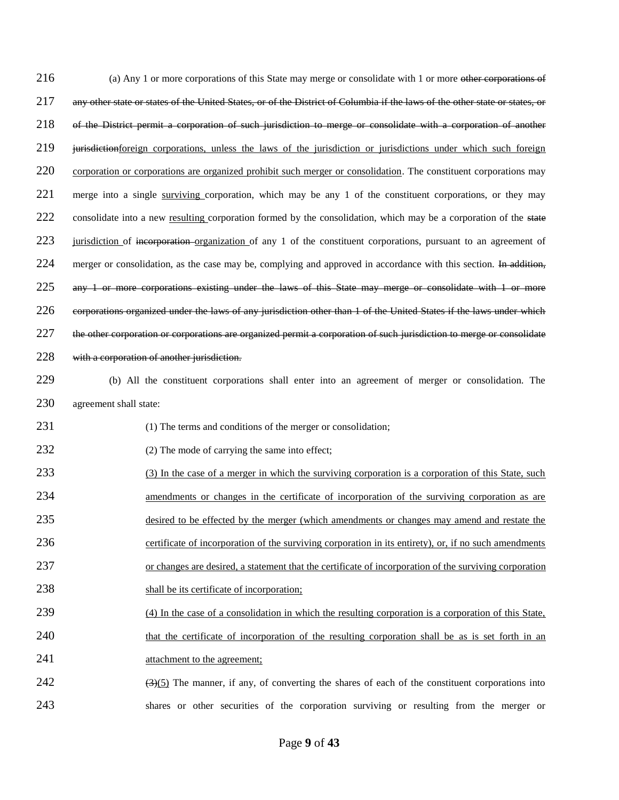| 216 | (a) Any 1 or more corporations of this State may merge or consolidate with 1 or more other corporations of                  |
|-----|-----------------------------------------------------------------------------------------------------------------------------|
| 217 | any other state or states of the United States, or of the District of Columbia if the laws of the other state or states, or |
| 218 | of the District permit a corporation of such jurisdiction to merge or consolidate with a corporation of another             |
| 219 | jurisdiction for eign corporations, unless the laws of the jurisdiction or jurisdictions under which such foreign           |
| 220 | corporation or corporations are organized prohibit such merger or consolidation. The constituent corporations may           |
| 221 | merge into a single surviving corporation, which may be any 1 of the constituent corporations, or they may                  |
| 222 | consolidate into a new resulting corporation formed by the consolidation, which may be a corporation of the state           |
| 223 | jurisdiction of incorporation organization of any 1 of the constituent corporations, pursuant to an agreement of            |
| 224 | merger or consolidation, as the case may be, complying and approved in accordance with this section. In addition,           |
| 225 | any 1 or more corporations existing under the laws of this State may merge or consolidate with 1 or more                    |
| 226 | corporations organized under the laws of any jurisdiction other than 1 of the United States if the laws under which         |
| 227 | the other corporation or corporations are organized permit a corporation of such jurisdiction to merge or consolidate       |
| 228 | with a corporation of another jurisdiction.                                                                                 |
| 229 | (b) All the constituent corporations shall enter into an agreement of merger or consolidation. The                          |
| 230 | agreement shall state:                                                                                                      |
| 231 | (1) The terms and conditions of the merger or consolidation;                                                                |
| 232 | (2) The mode of carrying the same into effect;                                                                              |
| 233 | (3) In the case of a merger in which the surviving corporation is a corporation of this State, such                         |
| 234 | amendments or changes in the certificate of incorporation of the surviving corporation as are                               |
| 235 | desired to be effected by the merger (which amendments or changes may amend and restate the                                 |
| 236 | certificate of incorporation of the surviving corporation in its entirety), or, if no such amendments                       |
| 237 | or changes are desired, a statement that the certificate of incorporation of the surviving corporation                      |
| 238 | shall be its certificate of incorporation;                                                                                  |
| 239 | (4) In the case of a consolidation in which the resulting corporation is a corporation of this State.                       |
| 240 | that the certificate of incorporation of the resulting corporation shall be as is set forth in an                           |
| 241 | attachment to the agreement;                                                                                                |
| 242 | $\left(\frac{3}{2}\right)$ The manner, if any, of converting the shares of each of the constituent corporations into        |
| 243 | shares or other securities of the corporation surviving or resulting from the merger or                                     |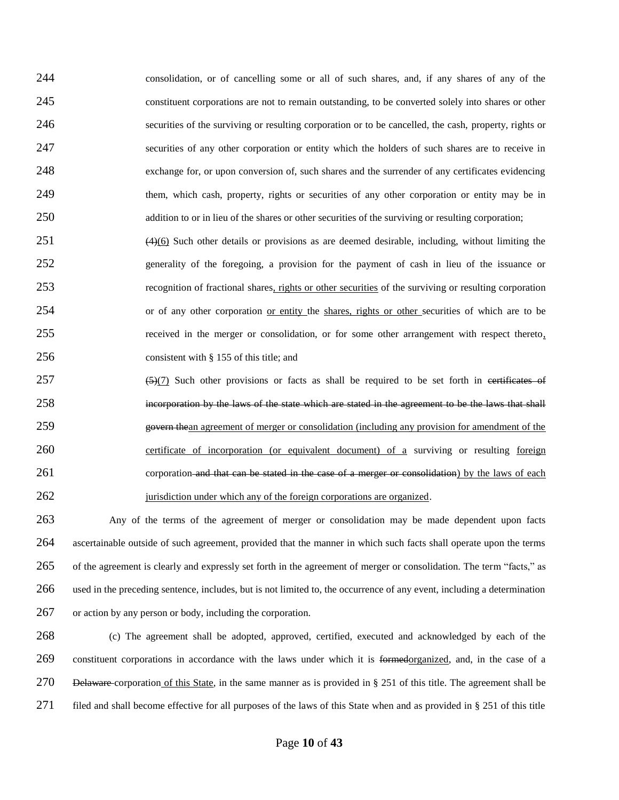consolidation, or of cancelling some or all of such shares, and, if any shares of any of the constituent corporations are not to remain outstanding, to be converted solely into shares or other securities of the surviving or resulting corporation or to be cancelled, the cash, property, rights or securities of any other corporation or entity which the holders of such shares are to receive in exchange for, or upon conversion of, such shares and the surrender of any certificates evidencing them, which cash, property, rights or securities of any other corporation or entity may be in addition to or in lieu of the shares or other securities of the surviving or resulting corporation;

 (4)(6) Such other details or provisions as are deemed desirable, including, without limiting the generality of the foregoing, a provision for the payment of cash in lieu of the issuance or recognition of fractional shares, rights or other securities of the surviving or resulting corporation 254 or of any other corporation <u>or entity</u> the shares, rights or other securities of which are to be received in the merger or consolidation, or for some other arrangement with respect thereto, consistent with § 155 of this title; and

  $(5)(7)$  Such other provisions or facts as shall be required to be set forth in evertificates of incorporation by the laws of the state which are stated in the agreement to be the laws that shall 259 severn the an agreement of merger or consolidation (including any provision for amendment of the certificate of incorporation (or equivalent document) of a surviving or resulting foreign 261 corporation and that can be stated in the case of a merger or consolidation) by the laws of each 262 iurisdiction under which any of the foreign corporations are organized.

 Any of the terms of the agreement of merger or consolidation may be made dependent upon facts ascertainable outside of such agreement, provided that the manner in which such facts shall operate upon the terms of the agreement is clearly and expressly set forth in the agreement of merger or consolidation. The term "facts," as used in the preceding sentence, includes, but is not limited to, the occurrence of any event, including a determination or action by any person or body, including the corporation.

 (c) The agreement shall be adopted, approved, certified, executed and acknowledged by each of the 269 constituent corporations in accordance with the laws under which it is formedorganized, and, in the case of a 270 Delaware corporation of this State, in the same manner as is provided in  $\S$  251 of this title. The agreement shall be filed and shall become effective for all purposes of the laws of this State when and as provided in § 251 of this title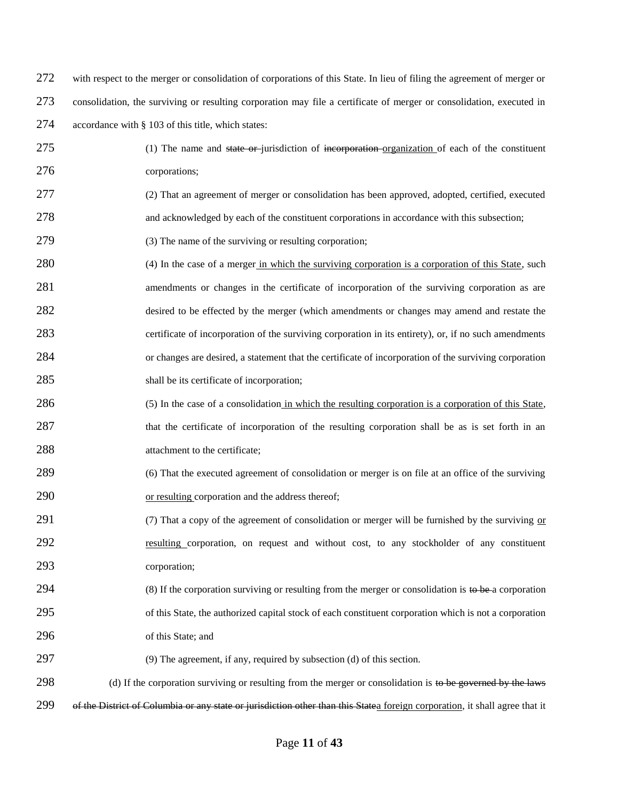- with respect to the merger or consolidation of corporations of this State. In lieu of filing the agreement of merger or consolidation, the surviving or resulting corporation may file a certificate of merger or consolidation, executed in accordance with § 103 of this title, which states:
- 275 (1) The name and state or jurisdiction of incorporation organization of each of the constituent corporations;
- (2) That an agreement of merger or consolidation has been approved, adopted, certified, executed and acknowledged by each of the constituent corporations in accordance with this subsection;
- (3) The name of the surviving or resulting corporation;
- 280 (4) In the case of a merger in which the surviving corporation is a corporation of this State, such amendments or changes in the certificate of incorporation of the surviving corporation as are desired to be effected by the merger (which amendments or changes may amend and restate the certificate of incorporation of the surviving corporation in its entirety), or, if no such amendments or changes are desired, a statement that the certificate of incorporation of the surviving corporation shall be its certificate of incorporation;
- 286 (5) In the case of a consolidation in which the resulting corporation is a corporation of this State,
- 287 that the certificate of incorporation of the resulting corporation shall be as is set forth in an 288 attachment to the certificate;
- (6) That the executed agreement of consolidation or merger is on file at an office of the surviving or resulting corporation and the address thereof;
- (7) That a copy of the agreement of consolidation or merger will be furnished by the surviving or resulting corporation, on request and without cost, to any stockholder of any constituent corporation;
- 294 (8) If the corporation surviving or resulting from the merger or consolidation is  $\theta$  be a corporation of this State, the authorized capital stock of each constituent corporation which is not a corporation
- of this State; and
- 297 (9) The agreement, if any, required by subsection (d) of this section.
- 298 (d) If the corporation surviving or resulting from the merger or consolidation is to be governed by the laws 299 of the District of Columbia or any state or jurisdiction other than this Statea foreign corporation, it shall agree that it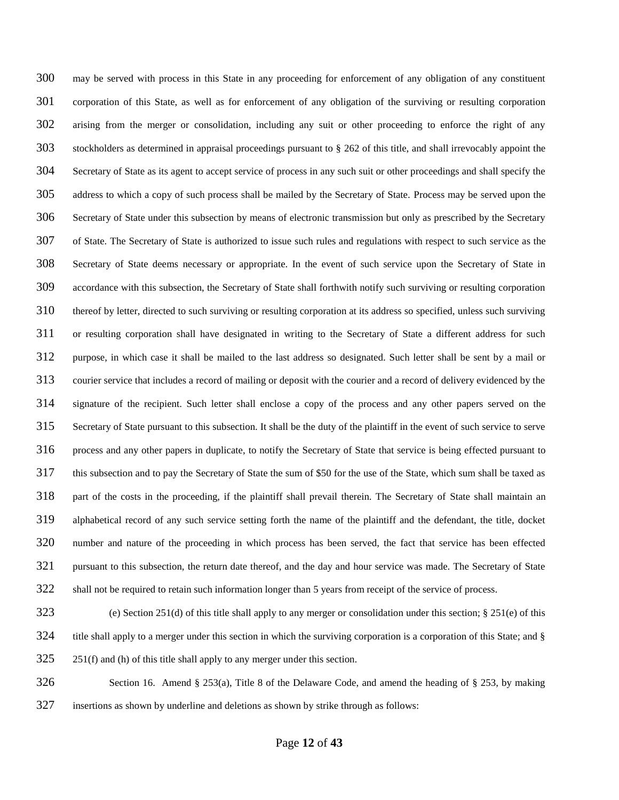may be served with process in this State in any proceeding for enforcement of any obligation of any constituent corporation of this State, as well as for enforcement of any obligation of the surviving or resulting corporation arising from the merger or consolidation, including any suit or other proceeding to enforce the right of any stockholders as determined in appraisal proceedings pursuant to § 262 of this title, and shall irrevocably appoint the Secretary of State as its agent to accept service of process in any such suit or other proceedings and shall specify the address to which a copy of such process shall be mailed by the Secretary of State. Process may be served upon the Secretary of State under this subsection by means of electronic transmission but only as prescribed by the Secretary of State. The Secretary of State is authorized to issue such rules and regulations with respect to such service as the Secretary of State deems necessary or appropriate. In the event of such service upon the Secretary of State in accordance with this subsection, the Secretary of State shall forthwith notify such surviving or resulting corporation thereof by letter, directed to such surviving or resulting corporation at its address so specified, unless such surviving or resulting corporation shall have designated in writing to the Secretary of State a different address for such purpose, in which case it shall be mailed to the last address so designated. Such letter shall be sent by a mail or courier service that includes a record of mailing or deposit with the courier and a record of delivery evidenced by the signature of the recipient. Such letter shall enclose a copy of the process and any other papers served on the Secretary of State pursuant to this subsection. It shall be the duty of the plaintiff in the event of such service to serve process and any other papers in duplicate, to notify the Secretary of State that service is being effected pursuant to this subsection and to pay the Secretary of State the sum of \$50 for the use of the State, which sum shall be taxed as part of the costs in the proceeding, if the plaintiff shall prevail therein. The Secretary of State shall maintain an alphabetical record of any such service setting forth the name of the plaintiff and the defendant, the title, docket number and nature of the proceeding in which process has been served, the fact that service has been effected pursuant to this subsection, the return date thereof, and the day and hour service was made. The Secretary of State shall not be required to retain such information longer than 5 years from receipt of the service of process.

- 323 (e) Section 251(d) of this title shall apply to any merger or consolidation under this section;  $§$  251(e) of this title shall apply to a merger under this section in which the surviving corporation is a corporation of this State; and § 251(f) and (h) of this title shall apply to any merger under this section.
- Section 16. Amend § 253(a), Title 8 of the Delaware Code, and amend the heading of § 253, by making insertions as shown by underline and deletions as shown by strike through as follows: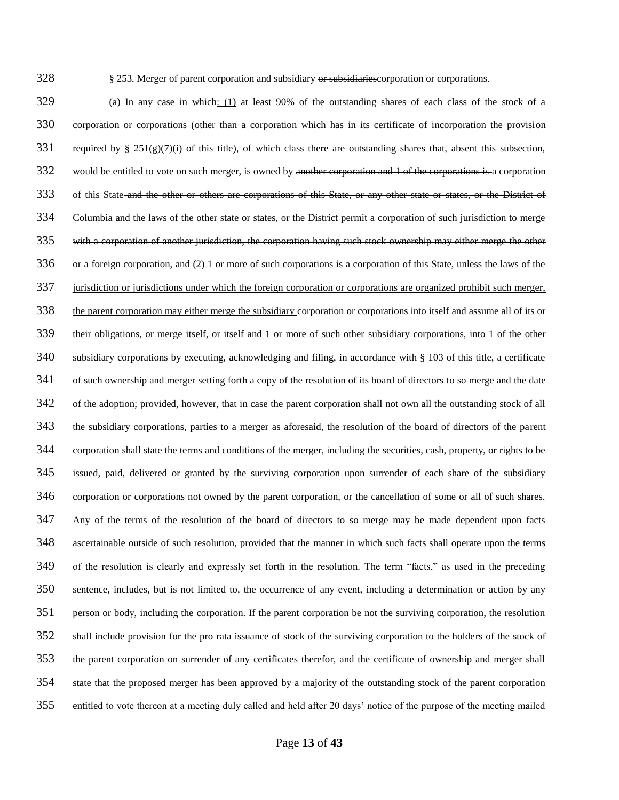328 § 253. Merger of parent corporation and subsidiary or subsidiaries corporation or corporations.

 (a) In any case in which: (1) at least 90% of the outstanding shares of each class of the stock of a corporation or corporations (other than a corporation which has in its certificate of incorporation the provision 331 required by § 251(g)(7)(i) of this title), of which class there are outstanding shares that, absent this subsection, 332 would be entitled to vote on such merger, is owned by another corporation and 1 of the corporations is a corporation 333 of this State and the other or others are corporations of this State, or any other state or states, or the District of Columbia and the laws of the other state or states, or the District permit a corporation of such jurisdiction to merge 335 with a corporation of another jurisdiction, the corporation having such stock ownership may either merge the other or a foreign corporation, and (2) 1 or more of such corporations is a corporation of this State, unless the laws of the jurisdiction or jurisdictions under which the foreign corporation or corporations are organized prohibit such merger, the parent corporation may either merge the subsidiary corporation or corporations into itself and assume all of its or their obligations, or merge itself, or itself and 1 or more of such other subsidiary corporations, into 1 of the other subsidiary corporations by executing, acknowledging and filing, in accordance with § 103 of this title, a certificate of such ownership and merger setting forth a copy of the resolution of its board of directors to so merge and the date of the adoption; provided, however, that in case the parent corporation shall not own all the outstanding stock of all the subsidiary corporations, parties to a merger as aforesaid, the resolution of the board of directors of the parent corporation shall state the terms and conditions of the merger, including the securities, cash, property, or rights to be issued, paid, delivered or granted by the surviving corporation upon surrender of each share of the subsidiary corporation or corporations not owned by the parent corporation, or the cancellation of some or all of such shares. Any of the terms of the resolution of the board of directors to so merge may be made dependent upon facts ascertainable outside of such resolution, provided that the manner in which such facts shall operate upon the terms of the resolution is clearly and expressly set forth in the resolution. The term "facts," as used in the preceding sentence, includes, but is not limited to, the occurrence of any event, including a determination or action by any person or body, including the corporation. If the parent corporation be not the surviving corporation, the resolution shall include provision for the pro rata issuance of stock of the surviving corporation to the holders of the stock of the parent corporation on surrender of any certificates therefor, and the certificate of ownership and merger shall state that the proposed merger has been approved by a majority of the outstanding stock of the parent corporation entitled to vote thereon at a meeting duly called and held after 20 days' notice of the purpose of the meeting mailed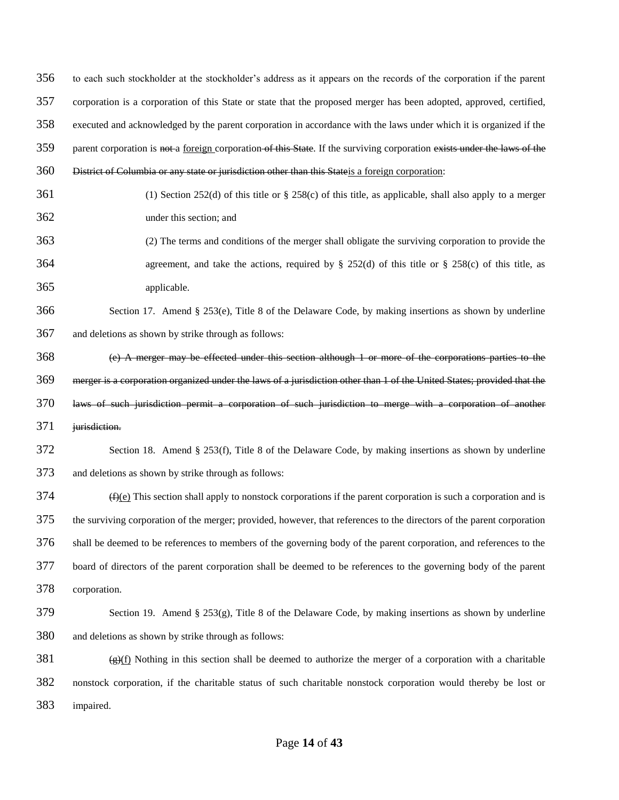to each such stockholder at the stockholder's address as it appears on the records of the corporation if the parent corporation is a corporation of this State or state that the proposed merger has been adopted, approved, certified, executed and acknowledged by the parent corporation in accordance with the laws under which it is organized if the 359 parent corporation is not a foreign corporation of this State. If the surviving corporation exists under the laws of the District of Columbia or any state or jurisdiction other than this Stateis a foreign corporation: (1) Section 252(d) of this title or § 258(c) of this title, as applicable, shall also apply to a merger under this section; and (2) The terms and conditions of the merger shall obligate the surviving corporation to provide the agreement, and take the actions, required by § 252(d) of this title or § 258(c) of this title, as applicable. Section 17. Amend § 253(e), Title 8 of the Delaware Code, by making insertions as shown by underline and deletions as shown by strike through as follows: (e) A merger may be effected under this section although 1 or more of the corporations parties to the merger is a corporation organized under the laws of a jurisdiction other than 1 of the United States; provided that the laws of such jurisdiction permit a corporation of such jurisdiction to merge with a corporation of another 371 jurisdiction. Section 18. Amend § 253(f), Title 8 of the Delaware Code, by making insertions as shown by underline and deletions as shown by strike through as follows: ( $f$ )(e) This section shall apply to nonstock corporations if the parent corporation is such a corporation and is the surviving corporation of the merger; provided, however, that references to the directors of the parent corporation shall be deemed to be references to members of the governing body of the parent corporation, and references to the

 board of directors of the parent corporation shall be deemed to be references to the governing body of the parent corporation.

## Section 19. Amend § 253(g), Title 8 of the Delaware Code, by making insertions as shown by underline and deletions as shown by strike through as follows:

 (g)(f) Nothing in this section shall be deemed to authorize the merger of a corporation with a charitable nonstock corporation, if the charitable status of such charitable nonstock corporation would thereby be lost or impaired.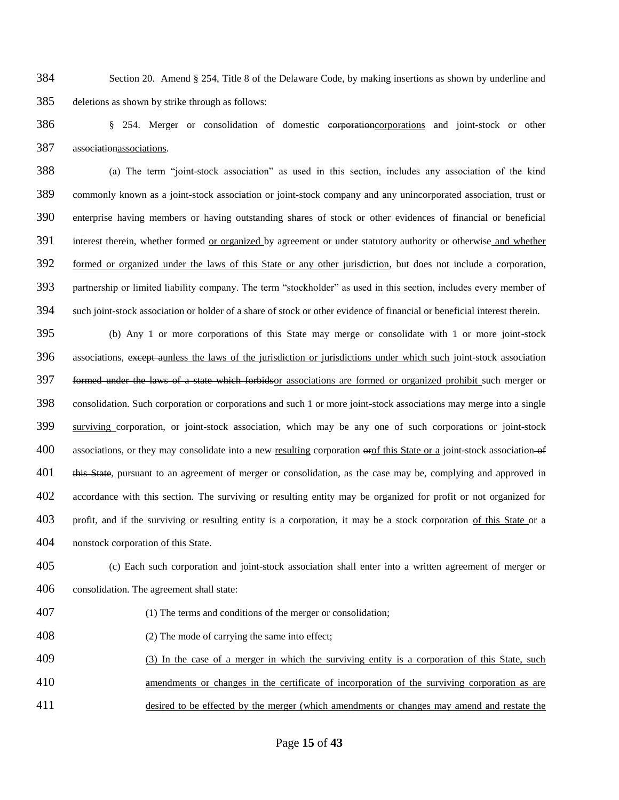Section 20. Amend § 254, Title 8 of the Delaware Code, by making insertions as shown by underline and deletions as shown by strike through as follows:

 § 254. Merger or consolidation of domestic corporationcorporations and joint-stock or other associationassociations.

 (a) The term "joint-stock association" as used in this section, includes any association of the kind commonly known as a joint-stock association or joint-stock company and any unincorporated association, trust or enterprise having members or having outstanding shares of stock or other evidences of financial or beneficial interest therein, whether formed or organized by agreement or under statutory authority or otherwise and whether formed or organized under the laws of this State or any other jurisdiction, but does not include a corporation, partnership or limited liability company. The term "stockholder" as used in this section, includes every member of such joint-stock association or holder of a share of stock or other evidence of financial or beneficial interest therein.

 (b) Any 1 or more corporations of this State may merge or consolidate with 1 or more joint-stock 396 associations, except aunless the laws of the jurisdiction or jurisdictions under which such joint-stock association formed under the laws of a state which forbidsor associations are formed or organized prohibit such merger or consolidation. Such corporation or corporations and such 1 or more joint-stock associations may merge into a single surviving corporation, or joint-stock association, which may be any one of such corporations or joint-stock 400 associations, or they may consolidate into a new resulting corporation or this State or a joint-stock association of 401 this State, pursuant to an agreement of merger or consolidation, as the case may be, complying and approved in accordance with this section. The surviving or resulting entity may be organized for profit or not organized for profit, and if the surviving or resulting entity is a corporation, it may be a stock corporation of this State or a nonstock corporation of this State.

 (c) Each such corporation and joint-stock association shall enter into a written agreement of merger or consolidation. The agreement shall state:

- (1) The terms and conditions of the merger or consolidation;
- (2) The mode of carrying the same into effect;
- (3) In the case of a merger in which the surviving entity is a corporation of this State, such
- amendments or changes in the certificate of incorporation of the surviving corporation as are
- desired to be effected by the merger (which amendments or changes may amend and restate the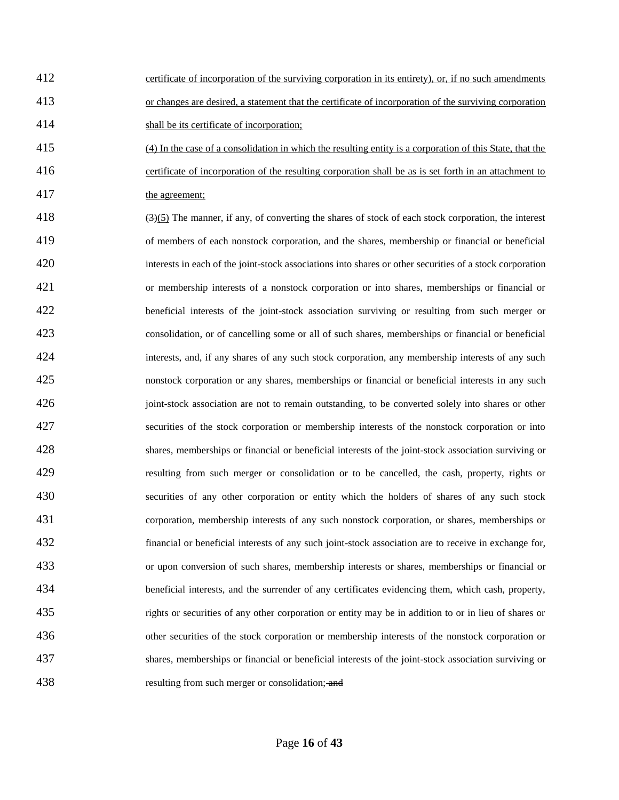- certificate of incorporation of the surviving corporation in its entirety), or, if no such amendments or changes are desired, a statement that the certificate of incorporation of the surviving corporation shall be its certificate of incorporation;
- (4) In the case of a consolidation in which the resulting entity is a corporation of this State, that the certificate of incorporation of the resulting corporation shall be as is set forth in an attachment to 417 the agreement;
- (3)(5) The manner, if any, of converting the shares of stock of each stock corporation, the interest of members of each nonstock corporation, and the shares, membership or financial or beneficial interests in each of the joint-stock associations into shares or other securities of a stock corporation or membership interests of a nonstock corporation or into shares, memberships or financial or beneficial interests of the joint-stock association surviving or resulting from such merger or consolidation, or of cancelling some or all of such shares, memberships or financial or beneficial interests, and, if any shares of any such stock corporation, any membership interests of any such nonstock corporation or any shares, memberships or financial or beneficial interests in any such **joint-stock association are not to remain outstanding, to be converted solely into shares or other**  securities of the stock corporation or membership interests of the nonstock corporation or into shares, memberships or financial or beneficial interests of the joint-stock association surviving or resulting from such merger or consolidation or to be cancelled, the cash, property, rights or securities of any other corporation or entity which the holders of shares of any such stock corporation, membership interests of any such nonstock corporation, or shares, memberships or financial or beneficial interests of any such joint-stock association are to receive in exchange for, or upon conversion of such shares, membership interests or shares, memberships or financial or beneficial interests, and the surrender of any certificates evidencing them, which cash, property, rights or securities of any other corporation or entity may be in addition to or in lieu of shares or other securities of the stock corporation or membership interests of the nonstock corporation or shares, memberships or financial or beneficial interests of the joint-stock association surviving or 438 resulting from such merger or consolidation; and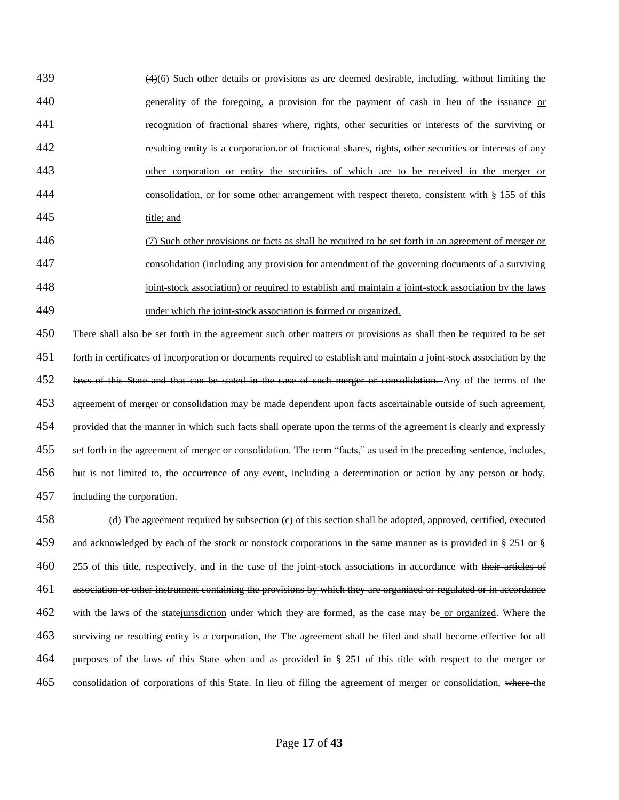(4)(6) Such other details or provisions as are deemed desirable, including, without limiting the generality of the foregoing, a provision for the payment of cash in lieu of the issuance or 441 recognition of fractional shares–where, rights, other securities or interests of the surviving or 442 resulting entity is a corporation or of fractional shares, rights, other securities or interests of any other corporation or entity the securities of which are to be received in the merger or consolidation, or for some other arrangement with respect thereto, consistent with § 155 of this title; and

 (7) Such other provisions or facts as shall be required to be set forth in an agreement of merger or consolidation (including any provision for amendment of the governing documents of a surviving joint-stock association) or required to establish and maintain a joint-stock association by the laws under which the joint-stock association is formed or organized.

450 There shall also be set forth in the agreement such other matters or provisions as shall then be required to be set forth in certificates of incorporation or documents required to establish and maintain a joint-stock association by the 452 laws of this State and that can be stated in the case of such merger or consolidation. Any of the terms of the agreement of merger or consolidation may be made dependent upon facts ascertainable outside of such agreement, provided that the manner in which such facts shall operate upon the terms of the agreement is clearly and expressly set forth in the agreement of merger or consolidation. The term "facts," as used in the preceding sentence, includes, but is not limited to, the occurrence of any event, including a determination or action by any person or body, including the corporation.

 (d) The agreement required by subsection (c) of this section shall be adopted, approved, certified, executed and acknowledged by each of the stock or nonstock corporations in the same manner as is provided in § 251 or § 460 255 of this title, respectively, and in the case of the joint-stock associations in accordance with their articles of association or other instrument containing the provisions by which they are organized or regulated or in accordance 462 with the laws of the state jurisdiction under which they are formed, as the case may be or organized. Where the 463 surviving or resulting entity is a corporation, the The agreement shall be filed and shall become effective for all purposes of the laws of this State when and as provided in § 251 of this title with respect to the merger or 465 consolidation of corporations of this State. In lieu of filing the agreement of merger or consolidation, where the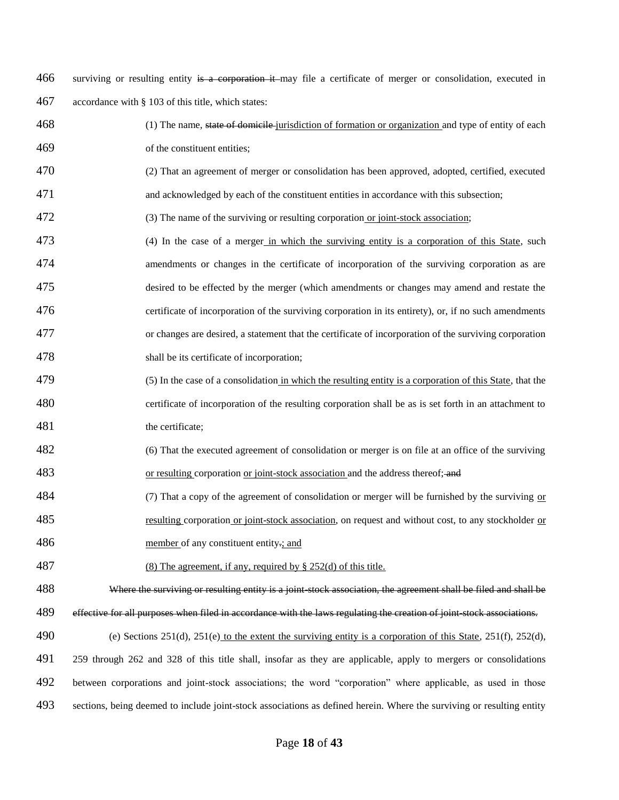466 surviving or resulting entity is a corporation it may file a certificate of merger or consolidation, executed in accordance with § 103 of this title, which states:

- 468 (1) The name, state of domicile jurisdiction of formation or organization and type of entity of each of the constituent entities;
- (2) That an agreement of merger or consolidation has been approved, adopted, certified, executed
- and acknowledged by each of the constituent entities in accordance with this subsection;
- 472 (3) The name of the surviving or resulting corporation or joint-stock association;
- 473 (4) In the case of a merger in which the surviving entity is a corporation of this State, such amendments or changes in the certificate of incorporation of the surviving corporation as are desired to be effected by the merger (which amendments or changes may amend and restate the certificate of incorporation of the surviving corporation in its entirety), or, if no such amendments or changes are desired, a statement that the certificate of incorporation of the surviving corporation shall be its certificate of incorporation;
- (5) In the case of a consolidation in which the resulting entity is a corporation of this State, that the certificate of incorporation of the resulting corporation shall be as is set forth in an attachment to
- 481 the certificate:
- (6) That the executed agreement of consolidation or merger is on file at an office of the surviving 483 or resulting corporation or joint-stock association and the address thereof; and
- (7) That a copy of the agreement of consolidation or merger will be furnished by the surviving or resulting corporation or joint-stock association, on request and without cost, to any stockholder or 486 member of any constituent entity-; and
- (8) The agreement, if any, required by § 252(d) of this title.
- Where the surviving or resulting entity is a joint-stock association, the agreement shall be filed and shall be 489 effective for all purposes when filed in accordance with the laws regulating the creation of joint stock associations.
- (e) Sections 251(d), 251(e) to the extent the surviving entity is a corporation of this State, 251(f), 252(d),
- 259 through 262 and 328 of this title shall, insofar as they are applicable, apply to mergers or consolidations between corporations and joint-stock associations; the word "corporation" where applicable, as used in those sections, being deemed to include joint-stock associations as defined herein. Where the surviving or resulting entity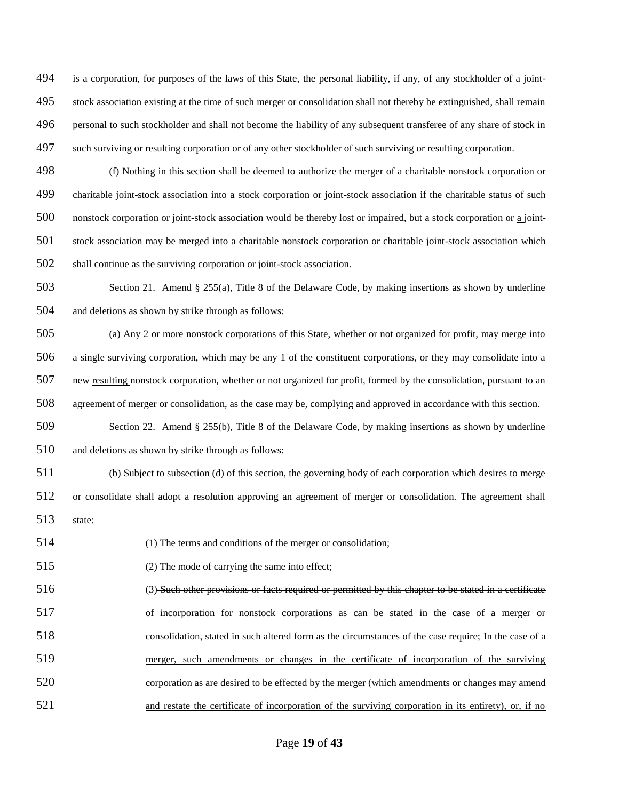is a corporation, for purposes of the laws of this State, the personal liability, if any, of any stockholder of a joint- stock association existing at the time of such merger or consolidation shall not thereby be extinguished, shall remain personal to such stockholder and shall not become the liability of any subsequent transferee of any share of stock in such surviving or resulting corporation or of any other stockholder of such surviving or resulting corporation.

 (f) Nothing in this section shall be deemed to authorize the merger of a charitable nonstock corporation or charitable joint-stock association into a stock corporation or joint-stock association if the charitable status of such nonstock corporation or joint-stock association would be thereby lost or impaired, but a stock corporation or a joint- stock association may be merged into a charitable nonstock corporation or charitable joint-stock association which shall continue as the surviving corporation or joint-stock association.

 Section 21. Amend § 255(a), Title 8 of the Delaware Code, by making insertions as shown by underline and deletions as shown by strike through as follows:

 (a) Any 2 or more nonstock corporations of this State, whether or not organized for profit, may merge into a single surviving corporation, which may be any 1 of the constituent corporations, or they may consolidate into a new resulting nonstock corporation, whether or not organized for profit, formed by the consolidation, pursuant to an agreement of merger or consolidation, as the case may be, complying and approved in accordance with this section.

 Section 22. Amend § 255(b), Title 8 of the Delaware Code, by making insertions as shown by underline and deletions as shown by strike through as follows:

 (b) Subject to subsection (d) of this section, the governing body of each corporation which desires to merge or consolidate shall adopt a resolution approving an agreement of merger or consolidation. The agreement shall state:

- (1) The terms and conditions of the merger or consolidation;
- (2) The mode of carrying the same into effect;
- (3) Such other provisions or facts required or permitted by this chapter to be stated in a certificate of incorporation for nonstock corporations as can be stated in the case of a merger or 518 consolidation, stated in such altered form as the circumstances of the case require; In the case of a merger, such amendments or changes in the certificate of incorporation of the surviving corporation as are desired to be effected by the merger (which amendments or changes may amend and restate the certificate of incorporation of the surviving corporation in its entirety), or, if no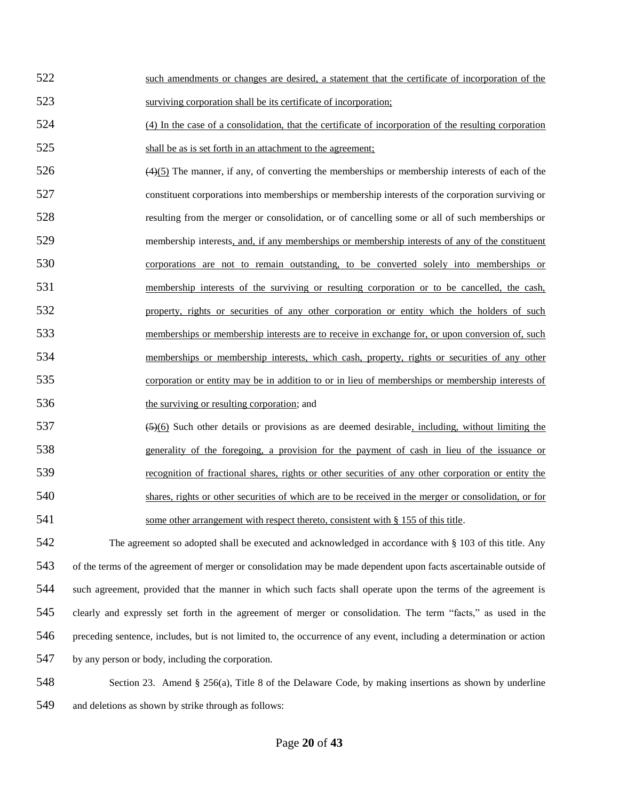- such amendments or changes are desired, a statement that the certificate of incorporation of the surviving corporation shall be its certificate of incorporation;
- (4) In the case of a consolidation, that the certificate of incorporation of the resulting corporation 525 shall be as is set forth in an attachment to the agreement;
- (4)(5) The manner, if any, of converting the memberships or membership interests of each of the constituent corporations into memberships or membership interests of the corporation surviving or resulting from the merger or consolidation, or of cancelling some or all of such memberships or membership interests, and, if any memberships or membership interests of any of the constituent corporations are not to remain outstanding, to be converted solely into memberships or membership interests of the surviving or resulting corporation or to be cancelled, the cash, 532 property, rights or securities of any other corporation or entity which the holders of such 533 memberships or membership interests are to receive in exchange for, or upon conversion of, such memberships or membership interests, which cash, property, rights or securities of any other corporation or entity may be in addition to or in lieu of memberships or membership interests of 536 the surviving or resulting corporation; and
- $(5)(6)$  Such other details or provisions as are deemed desirable, including, without limiting the generality of the foregoing, a provision for the payment of cash in lieu of the issuance or recognition of fractional shares, rights or other securities of any other corporation or entity the shares, rights or other securities of which are to be received in the merger or consolidation, or for
- 541 some other arrangement with respect thereto, consistent with § 155 of this title.
- 542 The agreement so adopted shall be executed and acknowledged in accordance with § 103 of this title. Any of the terms of the agreement of merger or consolidation may be made dependent upon facts ascertainable outside of such agreement, provided that the manner in which such facts shall operate upon the terms of the agreement is clearly and expressly set forth in the agreement of merger or consolidation. The term "facts," as used in the preceding sentence, includes, but is not limited to, the occurrence of any event, including a determination or action by any person or body, including the corporation.
- Section 23. Amend § 256(a), Title 8 of the Delaware Code, by making insertions as shown by underline and deletions as shown by strike through as follows: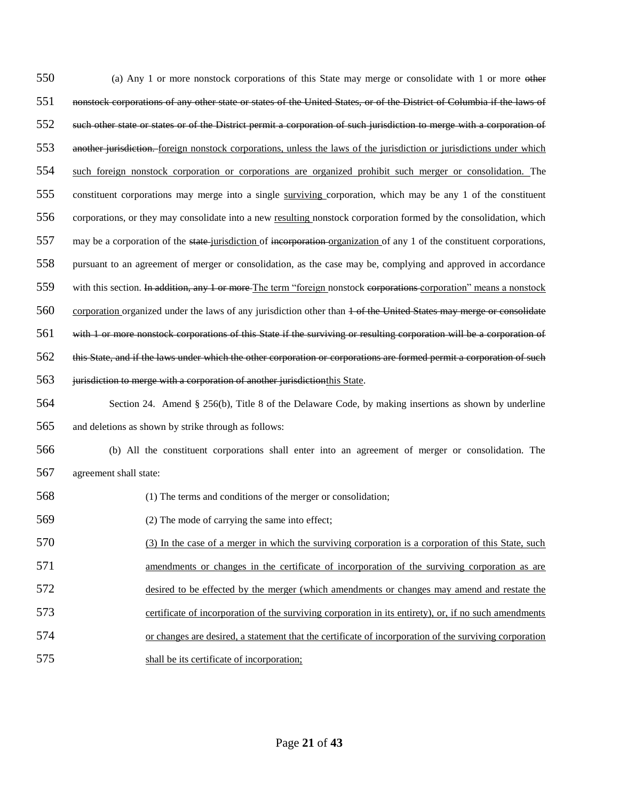(a) Any 1 or more nonstock corporations of this State may merge or consolidate with 1 or more other nonstock corporations of any other state or states of the United States, or of the District of Columbia if the laws of such other state or states or of the District permit a corporation of such jurisdiction to merge with a corporation of another jurisdiction. foreign nonstock corporations, unless the laws of the jurisdiction or jurisdictions under which such foreign nonstock corporation or corporations are organized prohibit such merger or consolidation. The constituent corporations may merge into a single surviving corporation, which may be any 1 of the constituent corporations, or they may consolidate into a new resulting nonstock corporation formed by the consolidation, which 557 may be a corporation of the state-jurisdiction of incorporation organization of any 1 of the constituent corporations, pursuant to an agreement of merger or consolidation, as the case may be, complying and approved in accordance 559 with this section. In addition, any 1 or more The term "foreign nonstock corporations corporation" means a nonstock 560 corporation organized under the laws of any jurisdiction other than 1 of the United States may merge or consolidate with 1 or more nonstock corporations of this State if the surviving or resulting corporation will be a corporation of this State, and if the laws under which the other corporation or corporations are formed permit a corporation of such 563 jurisdiction to merge with a corporation of another jurisdictionthis State. Section 24. Amend § 256(b), Title 8 of the Delaware Code, by making insertions as shown by underline and deletions as shown by strike through as follows: (b) All the constituent corporations shall enter into an agreement of merger or consolidation. The agreement shall state: (1) The terms and conditions of the merger or consolidation; (2) The mode of carrying the same into effect; (3) In the case of a merger in which the surviving corporation is a corporation of this State, such amendments or changes in the certificate of incorporation of the surviving corporation as are desired to be effected by the merger (which amendments or changes may amend and restate the certificate of incorporation of the surviving corporation in its entirety), or, if no such amendments or changes are desired, a statement that the certificate of incorporation of the surviving corporation shall be its certificate of incorporation;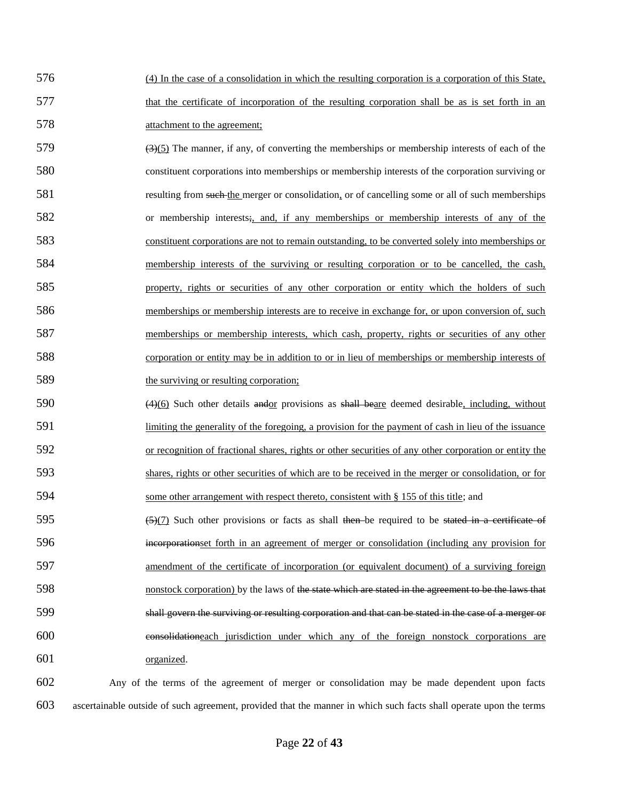(4) In the case of a consolidation in which the resulting corporation is a corporation of this State, 577 that the certificate of incorporation of the resulting corporation shall be as is set forth in an attachment to the agreement;

579 (3)(5) The manner, if any, of converting the memberships or membership interests of each of the constituent corporations into memberships or membership interests of the corporation surviving or 581 resulting from such the merger or consolidation, or of cancelling some or all of such memberships or membership interests;, and, if any memberships or membership interests of any of the constituent corporations are not to remain outstanding, to be converted solely into memberships or membership interests of the surviving or resulting corporation or to be cancelled, the cash, property, rights or securities of any other corporation or entity which the holders of such 586 memberships or membership interests are to receive in exchange for, or upon conversion of, such memberships or membership interests, which cash, property, rights or securities of any other corporation or entity may be in addition to or in lieu of memberships or membership interests of the surviving or resulting corporation;

590 (4)(6) Such other details and or provisions as shall beare deemed desirable, including, without limiting the generality of the foregoing, a provision for the payment of cash in lieu of the issuance or recognition of fractional shares, rights or other securities of any other corporation or entity the shares, rights or other securities of which are to be received in the merger or consolidation, or for

594 some other arrangement with respect thereto, consistent with § 155 of this title; and

 $(5)(7)$  Such other provisions or facts as shall then be required to be stated in a certificate of incorporationset forth in an agreement of merger or consolidation (including any provision for amendment of the certificate of incorporation (or equivalent document) of a surviving foreign 598 nonstock corporation) by the laws of the state which are stated in the agreement to be the laws that shall govern the surviving or resulting corporation and that can be stated in the case of a merger or consolidationeach jurisdiction under which any of the foreign nonstock corporations are organized.

 Any of the terms of the agreement of merger or consolidation may be made dependent upon facts ascertainable outside of such agreement, provided that the manner in which such facts shall operate upon the terms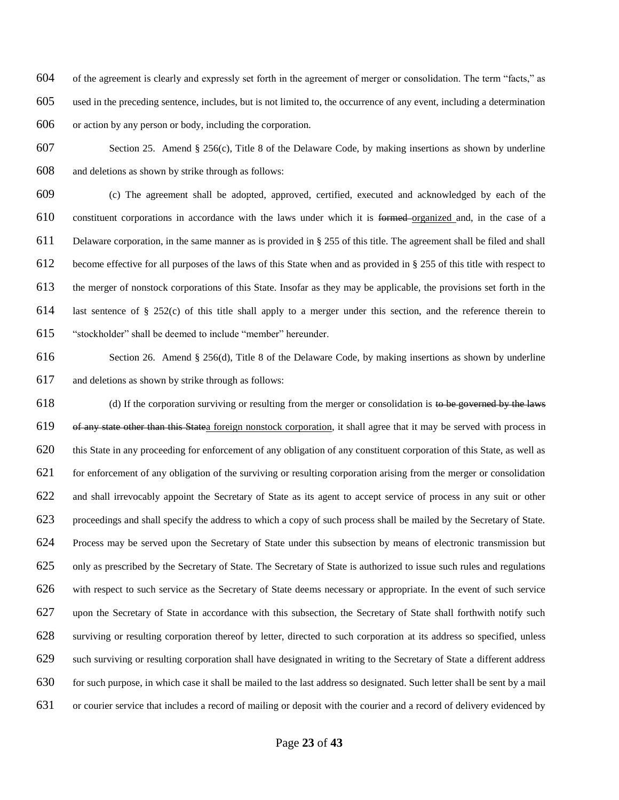of the agreement is clearly and expressly set forth in the agreement of merger or consolidation. The term "facts," as used in the preceding sentence, includes, but is not limited to, the occurrence of any event, including a determination or action by any person or body, including the corporation.

 Section 25. Amend § 256(c), Title 8 of the Delaware Code, by making insertions as shown by underline and deletions as shown by strike through as follows:

 (c) The agreement shall be adopted, approved, certified, executed and acknowledged by each of the constituent corporations in accordance with the laws under which it is formed organized and, in the case of a Delaware corporation, in the same manner as is provided in § 255 of this title. The agreement shall be filed and shall become effective for all purposes of the laws of this State when and as provided in § 255 of this title with respect to the merger of nonstock corporations of this State. Insofar as they may be applicable, the provisions set forth in the last sentence of § 252(c) of this title shall apply to a merger under this section, and the reference therein to "stockholder" shall be deemed to include "member" hereunder.

 Section 26. Amend § 256(d), Title 8 of the Delaware Code, by making insertions as shown by underline and deletions as shown by strike through as follows:

618 (d) If the corporation surviving or resulting from the merger or consolidation is to be governed by the laws of any state other than this Statea foreign nonstock corporation, it shall agree that it may be served with process in this State in any proceeding for enforcement of any obligation of any constituent corporation of this State, as well as for enforcement of any obligation of the surviving or resulting corporation arising from the merger or consolidation and shall irrevocably appoint the Secretary of State as its agent to accept service of process in any suit or other proceedings and shall specify the address to which a copy of such process shall be mailed by the Secretary of State. Process may be served upon the Secretary of State under this subsection by means of electronic transmission but only as prescribed by the Secretary of State. The Secretary of State is authorized to issue such rules and regulations with respect to such service as the Secretary of State deems necessary or appropriate. In the event of such service upon the Secretary of State in accordance with this subsection, the Secretary of State shall forthwith notify such surviving or resulting corporation thereof by letter, directed to such corporation at its address so specified, unless such surviving or resulting corporation shall have designated in writing to the Secretary of State a different address for such purpose, in which case it shall be mailed to the last address so designated. Such letter shall be sent by a mail or courier service that includes a record of mailing or deposit with the courier and a record of delivery evidenced by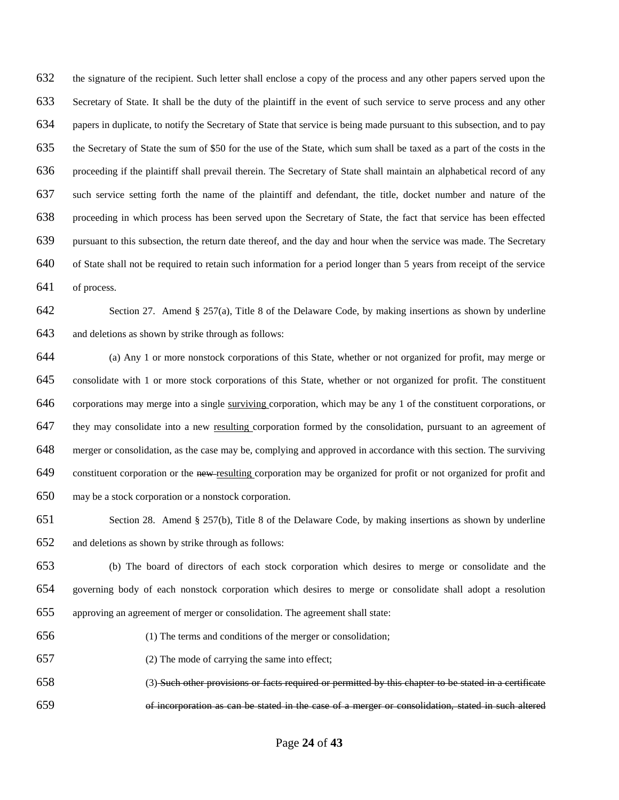the signature of the recipient. Such letter shall enclose a copy of the process and any other papers served upon the Secretary of State. It shall be the duty of the plaintiff in the event of such service to serve process and any other papers in duplicate, to notify the Secretary of State that service is being made pursuant to this subsection, and to pay the Secretary of State the sum of \$50 for the use of the State, which sum shall be taxed as a part of the costs in the proceeding if the plaintiff shall prevail therein. The Secretary of State shall maintain an alphabetical record of any such service setting forth the name of the plaintiff and defendant, the title, docket number and nature of the proceeding in which process has been served upon the Secretary of State, the fact that service has been effected pursuant to this subsection, the return date thereof, and the day and hour when the service was made. The Secretary of State shall not be required to retain such information for a period longer than 5 years from receipt of the service of process.

 Section 27. Amend § 257(a), Title 8 of the Delaware Code, by making insertions as shown by underline and deletions as shown by strike through as follows:

 (a) Any 1 or more nonstock corporations of this State, whether or not organized for profit, may merge or consolidate with 1 or more stock corporations of this State, whether or not organized for profit. The constituent 646 corporations may merge into a single surviving corporation, which may be any 1 of the constituent corporations, or they may consolidate into a new resulting corporation formed by the consolidation, pursuant to an agreement of merger or consolidation, as the case may be, complying and approved in accordance with this section. The surviving 649 constituent corporation or the new-resulting corporation may be organized for profit or not organized for profit and may be a stock corporation or a nonstock corporation.

 Section 28. Amend § 257(b), Title 8 of the Delaware Code, by making insertions as shown by underline and deletions as shown by strike through as follows:

 (b) The board of directors of each stock corporation which desires to merge or consolidate and the governing body of each nonstock corporation which desires to merge or consolidate shall adopt a resolution approving an agreement of merger or consolidation. The agreement shall state:

(1) The terms and conditions of the merger or consolidation;

(2) The mode of carrying the same into effect;

 (3) Such other provisions or facts required or permitted by this chapter to be stated in a certificate of incorporation as can be stated in the case of a merger or consolidation, stated in such altered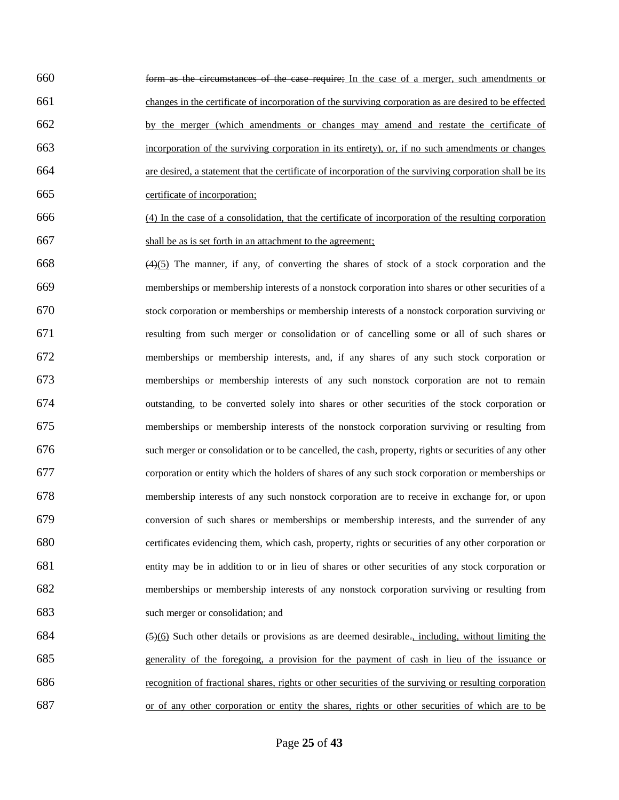form as the circumstances of the case require; In the case of a merger, such amendments or changes in the certificate of incorporation of the surviving corporation as are desired to be effected by the merger (which amendments or changes may amend and restate the certificate of incorporation of the surviving corporation in its entirety), or, if no such amendments or changes are desired, a statement that the certificate of incorporation of the surviving corporation shall be its certificate of incorporation;

- (4) In the case of a consolidation, that the certificate of incorporation of the resulting corporation shall be as is set forth in an attachment to the agreement;
- (4)(5) The manner, if any, of converting the shares of stock of a stock corporation and the memberships or membership interests of a nonstock corporation into shares or other securities of a stock corporation or memberships or membership interests of a nonstock corporation surviving or resulting from such merger or consolidation or of cancelling some or all of such shares or memberships or membership interests, and, if any shares of any such stock corporation or memberships or membership interests of any such nonstock corporation are not to remain outstanding, to be converted solely into shares or other securities of the stock corporation or memberships or membership interests of the nonstock corporation surviving or resulting from such merger or consolidation or to be cancelled, the cash, property, rights or securities of any other corporation or entity which the holders of shares of any such stock corporation or memberships or membership interests of any such nonstock corporation are to receive in exchange for, or upon conversion of such shares or memberships or membership interests, and the surrender of any certificates evidencing them, which cash, property, rights or securities of any other corporation or entity may be in addition to or in lieu of shares or other securities of any stock corporation or memberships or membership interests of any nonstock corporation surviving or resulting from such merger or consolidation; and

# (5)(6) Such other details or provisions as are deemed desirable., including, without limiting the generality of the foregoing, a provision for the payment of cash in lieu of the issuance or recognition of fractional shares, rights or other securities of the surviving or resulting corporation or of any other corporation or entity the shares, rights or other securities of which are to be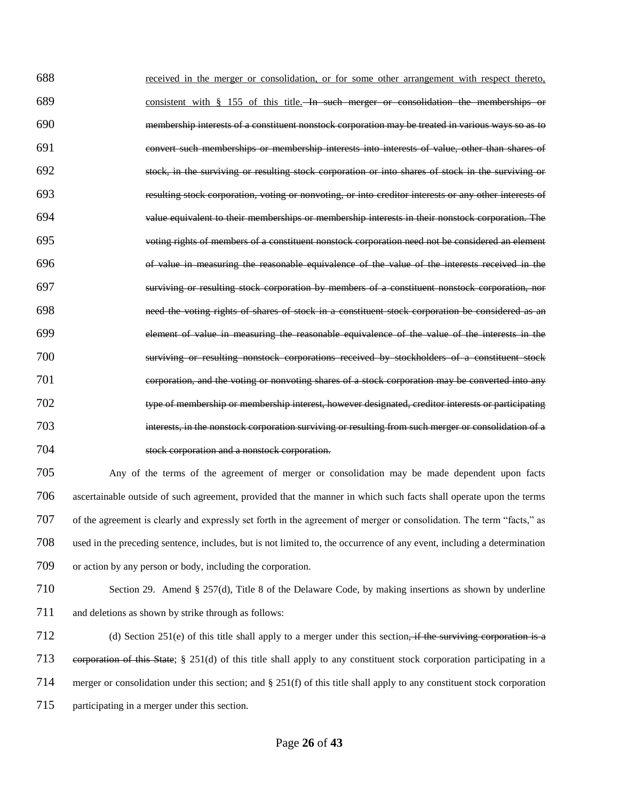received in the merger or consolidation, or for some other arrangement with respect thereto, consistent with § 155 of this title. In such merger or consolidation the memberships or membership interests of a constituent nonstock corporation may be treated in various ways so as to convert such memberships or membership interests into interests of value, other than shares of stock, in the surviving or resulting stock corporation or into shares of stock in the surviving or resulting stock corporation, voting or nonvoting, or into creditor interests or any other interests of value equivalent to their memberships or membership interests in their nonstock corporation. The voting rights of members of a constituent nonstock corporation need not be considered an element of value in measuring the reasonable equivalence of the value of the interests received in the surviving or resulting stock corporation by members of a constituent nonstock corporation, nor need the voting rights of shares of stock in a constituent stock corporation be considered as an element of value in measuring the reasonable equivalence of the value of the interests in the surviving or resulting nonstock corporations received by stockholders of a constituent stock corporation, and the voting or nonvoting shares of a stock corporation may be converted into any type of membership or membership interest, however designated, creditor interests or participating interests, in the nonstock corporation surviving or resulting from such merger or consolidation of a stock corporation and a nonstock corporation. Any of the terms of the agreement of merger or consolidation may be made dependent upon facts

 ascertainable outside of such agreement, provided that the manner in which such facts shall operate upon the terms of the agreement is clearly and expressly set forth in the agreement of merger or consolidation. The term "facts," as used in the preceding sentence, includes, but is not limited to, the occurrence of any event, including a determination or action by any person or body, including the corporation.

 Section 29. Amend § 257(d), Title 8 of the Delaware Code, by making insertions as shown by underline and deletions as shown by strike through as follows:

712 (d) Section 251(e) of this title shall apply to a merger under this section, if the surviving corporation is a 713 e<del>orporation of this State</del>; § 251(d) of this title shall apply to any constituent stock corporation participating in a merger or consolidation under this section; and § 251(f) of this title shall apply to any constituent stock corporation participating in a merger under this section.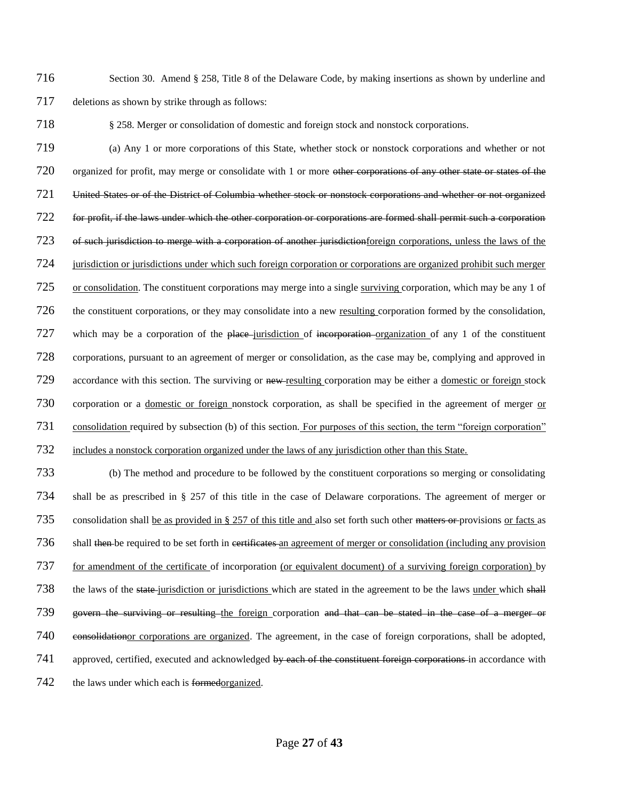Section 30. Amend § 258, Title 8 of the Delaware Code, by making insertions as shown by underline and deletions as shown by strike through as follows:

§ 258. Merger or consolidation of domestic and foreign stock and nonstock corporations.

 (a) Any 1 or more corporations of this State, whether stock or nonstock corporations and whether or not 720 organized for profit, may merge or consolidate with 1 or more other corporations of any other state or states of the United States or of the District of Columbia whether stock or nonstock corporations and whether or not organized for profit, if the laws under which the other corporation or corporations are formed shall permit such a corporation 723 of such jurisdiction to merge with a corporation of another jurisdictionforeign corporations, unless the laws of the jurisdiction or jurisdictions under which such foreign corporation or corporations are organized prohibit such merger or consolidation. The constituent corporations may merge into a single surviving corporation, which may be any 1 of the constituent corporations, or they may consolidate into a new resulting corporation formed by the consolidation, 727 which may be a corporation of the place-jurisdiction of incorporation-organization of any 1 of the constituent corporations, pursuant to an agreement of merger or consolidation, as the case may be, complying and approved in 729 accordance with this section. The surviving or new resulting corporation may be either a domestic or foreign stock corporation or a domestic or foreign nonstock corporation, as shall be specified in the agreement of merger or consolidation required by subsection (b) of this section. For purposes of this section, the term "foreign corporation" includes a nonstock corporation organized under the laws of any jurisdiction other than this State.

 (b) The method and procedure to be followed by the constituent corporations so merging or consolidating shall be as prescribed in § 257 of this title in the case of Delaware corporations. The agreement of merger or 735 consolidation shall be as provided in  $\S 257$  of this title and also set forth such other matters or provisions or facts as 736 shall then be required to be set forth in eertificates an agreement of merger or consolidation (including any provision for amendment of the certificate of incorporation (or equivalent document) of a surviving foreign corporation) by 738 the laws of the state-jurisdiction or jurisdictions which are stated in the agreement to be the laws under which shall govern the surviving or resulting the foreign corporation and that can be stated in the case of a merger or consolidationor corporations are organized. The agreement, in the case of foreign corporations, shall be adopted, 741 approved, certified, executed and acknowledged by each of the constituent foreign corporations in accordance with 742 the laws under which each is formedorganized.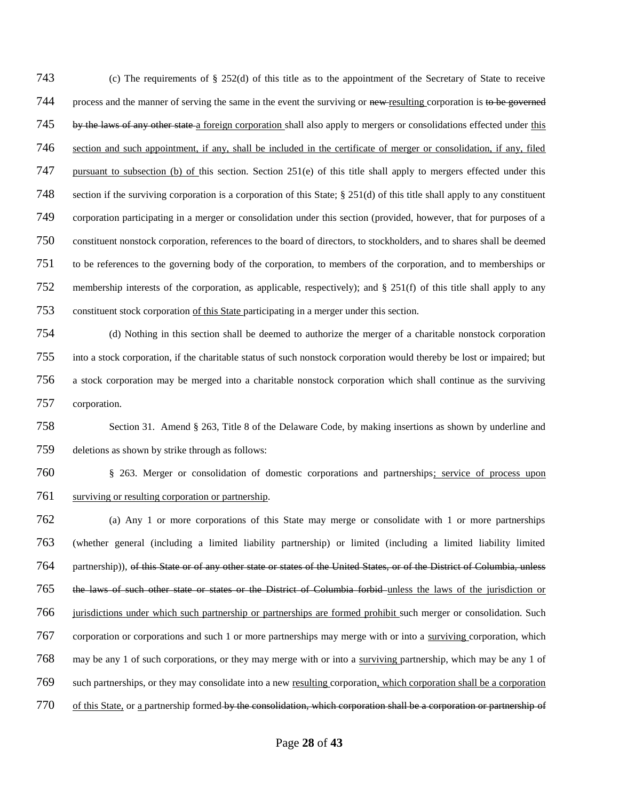(c) The requirements of § 252(d) of this title as to the appointment of the Secretary of State to receive 744 process and the manner of serving the same in the event the surviving or new-resulting corporation is to be governed 745 by the laws of any other state a foreign corporation shall also apply to mergers or consolidations effected under this section and such appointment, if any, shall be included in the certificate of merger or consolidation, if any, filed pursuant to subsection (b) of this section. Section 251(e) of this title shall apply to mergers effected under this section if the surviving corporation is a corporation of this State; § 251(d) of this title shall apply to any constituent corporation participating in a merger or consolidation under this section (provided, however, that for purposes of a constituent nonstock corporation, references to the board of directors, to stockholders, and to shares shall be deemed to be references to the governing body of the corporation, to members of the corporation, and to memberships or membership interests of the corporation, as applicable, respectively); and § 251(f) of this title shall apply to any constituent stock corporation of this State participating in a merger under this section.

 (d) Nothing in this section shall be deemed to authorize the merger of a charitable nonstock corporation into a stock corporation, if the charitable status of such nonstock corporation would thereby be lost or impaired; but a stock corporation may be merged into a charitable nonstock corporation which shall continue as the surviving corporation.

 Section 31. Amend § 263, Title 8 of the Delaware Code, by making insertions as shown by underline and deletions as shown by strike through as follows:

 § 263. Merger or consolidation of domestic corporations and partnerships; service of process upon surviving or resulting corporation or partnership.

 (a) Any 1 or more corporations of this State may merge or consolidate with 1 or more partnerships (whether general (including a limited liability partnership) or limited (including a limited liability limited 764 partnership)), of this State or of any other state or states of the United States, or of the District of Columbia, unless the laws of such other state or states or the District of Columbia forbid unless the laws of the jurisdiction or jurisdictions under which such partnership or partnerships are formed prohibit such merger or consolidation. Such corporation or corporations and such 1 or more partnerships may merge with or into a surviving corporation, which may be any 1 of such corporations, or they may merge with or into a surviving partnership, which may be any 1 of such partnerships, or they may consolidate into a new resulting corporation, which corporation shall be a corporation 770 of this State, or a partnership formed by the consolidation, which corporation shall be a corporation or partnership of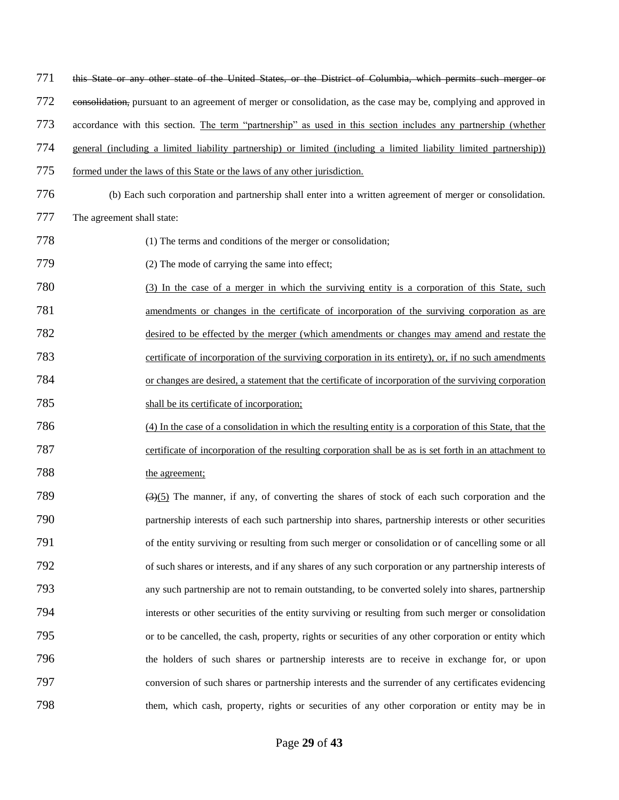this State or any other state of the United States, or the District of Columbia, which permits such merger or 772 eonsolidation, pursuant to an agreement of merger or consolidation, as the case may be, complying and approved in accordance with this section. The term "partnership" as used in this section includes any partnership (whether

general (including a limited liability partnership) or limited (including a limited liability limited partnership))

- formed under the laws of this State or the laws of any other jurisdiction.
- (b) Each such corporation and partnership shall enter into a written agreement of merger or consolidation.

The agreement shall state:

- (1) The terms and conditions of the merger or consolidation;
- (2) The mode of carrying the same into effect;
- (3) In the case of a merger in which the surviving entity is a corporation of this State, such amendments or changes in the certificate of incorporation of the surviving corporation as are desired to be effected by the merger (which amendments or changes may amend and restate the certificate of incorporation of the surviving corporation in its entirety), or, if no such amendments or changes are desired, a statement that the certificate of incorporation of the surviving corporation shall be its certificate of incorporation;
- (4) In the case of a consolidation in which the resulting entity is a corporation of this State, that the certificate of incorporation of the resulting corporation shall be as is set forth in an attachment to 788 the agreement;
- (3)(5) The manner, if any, of converting the shares of stock of each such corporation and the partnership interests of each such partnership into shares, partnership interests or other securities of the entity surviving or resulting from such merger or consolidation or of cancelling some or all of such shares or interests, and if any shares of any such corporation or any partnership interests of any such partnership are not to remain outstanding, to be converted solely into shares, partnership interests or other securities of the entity surviving or resulting from such merger or consolidation or to be cancelled, the cash, property, rights or securities of any other corporation or entity which the holders of such shares or partnership interests are to receive in exchange for, or upon conversion of such shares or partnership interests and the surrender of any certificates evidencing them, which cash, property, rights or securities of any other corporation or entity may be in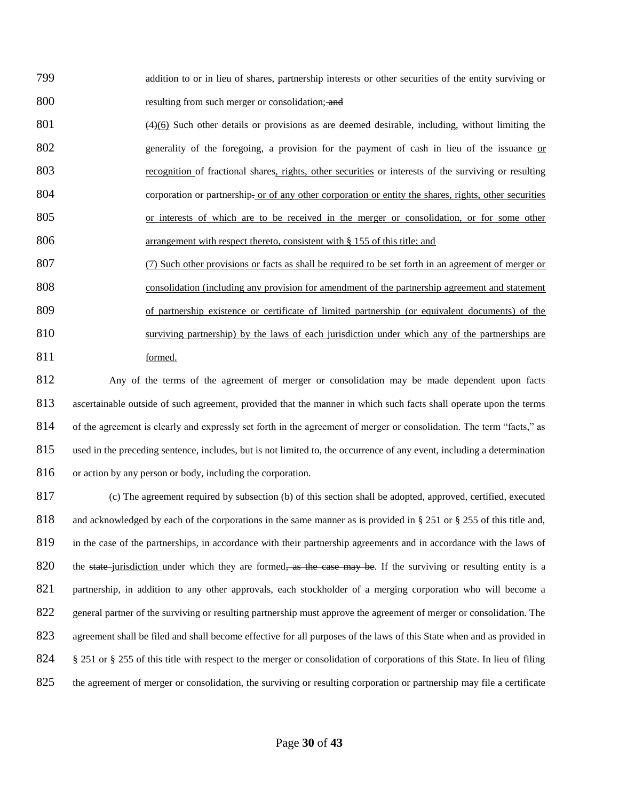addition to or in lieu of shares, partnership interests or other securities of the entity surviving or 800 resulting from such merger or consolidation; and

801 (4)(6) Such other details or provisions as are deemed desirable, including, without limiting the generality of the foregoing, a provision for the payment of cash in lieu of the issuance or recognition of fractional shares, rights, other securities or interests of the surviving or resulting 804 corporation or partnership. or of any other corporation or entity the shares, rights, other securities or interests of which are to be received in the merger or consolidation, or for some other **arrangement with respect thereto, consistent with § 155 of this title; and** 

 (7) Such other provisions or facts as shall be required to be set forth in an agreement of merger or consolidation (including any provision for amendment of the partnership agreement and statement of partnership existence or certificate of limited partnership (or equivalent documents) of the surviving partnership) by the laws of each jurisdiction under which any of the partnerships are

811 formed.

 Any of the terms of the agreement of merger or consolidation may be made dependent upon facts ascertainable outside of such agreement, provided that the manner in which such facts shall operate upon the terms of the agreement is clearly and expressly set forth in the agreement of merger or consolidation. The term "facts," as used in the preceding sentence, includes, but is not limited to, the occurrence of any event, including a determination 816 or action by any person or body, including the corporation.

 (c) The agreement required by subsection (b) of this section shall be adopted, approved, certified, executed 818 and acknowledged by each of the corporations in the same manner as is provided in § 251 or § 255 of this title and, in the case of the partnerships, in accordance with their partnership agreements and in accordance with the laws of 820 the state-jurisdiction under which they are formed, as the case may be. If the surviving or resulting entity is a partnership, in addition to any other approvals, each stockholder of a merging corporation who will become a general partner of the surviving or resulting partnership must approve the agreement of merger or consolidation. The agreement shall be filed and shall become effective for all purposes of the laws of this State when and as provided in § 251 or § 255 of this title with respect to the merger or consolidation of corporations of this State. In lieu of filing 825 the agreement of merger or consolidation, the surviving or resulting corporation or partnership may file a certificate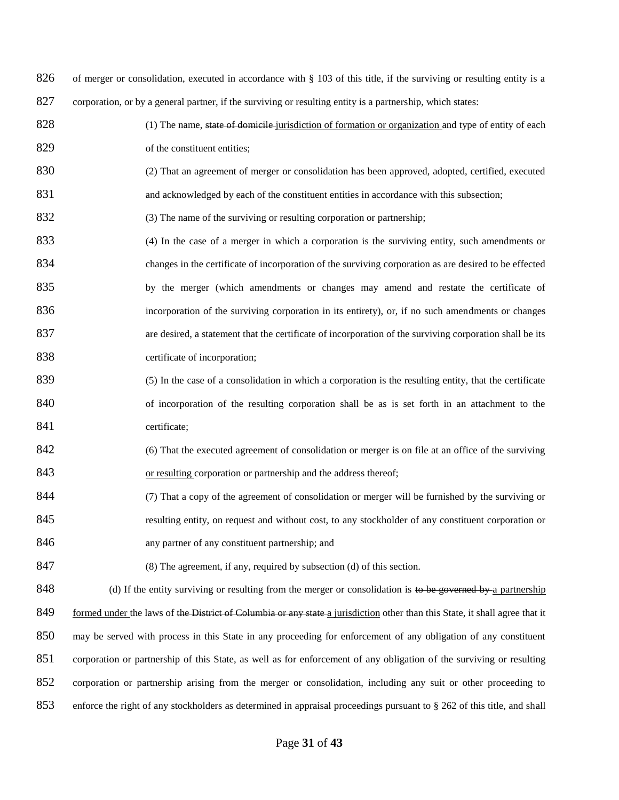826 of merger or consolidation, executed in accordance with § 103 of this title, if the surviving or resulting entity is a 827 corporation, or by a general partner, if the surviving or resulting entity is a partnership, which states:

- 828 (1) The name, state of domicile jurisdiction of formation or organization and type of entity of each 829 of the constituent entities;
- 830 (2) That an agreement of merger or consolidation has been approved, adopted, certified, executed
- 831 and acknowledged by each of the constituent entities in accordance with this subsection;
- 832 (3) The name of the surviving or resulting corporation or partnership;
- 833 (4) In the case of a merger in which a corporation is the surviving entity, such amendments or 834 changes in the certificate of incorporation of the surviving corporation as are desired to be effected 835 by the merger (which amendments or changes may amend and restate the certificate of 836 incorporation of the surviving corporation in its entirety), or, if no such amendments or changes 837 are desired, a statement that the certificate of incorporation of the surviving corporation shall be its 838 certificate of incorporation;
- 839 (5) In the case of a consolidation in which a corporation is the resulting entity, that the certificate 840 of incorporation of the resulting corporation shall be as is set forth in an attachment to the 841 certificate:
- 842 (6) That the executed agreement of consolidation or merger is on file at an office of the surviving 843 or resulting corporation or partnership and the address thereof;
- 844 (7) That a copy of the agreement of consolidation or merger will be furnished by the surviving or 845 resulting entity, on request and without cost, to any stockholder of any constituent corporation or 846 any partner of any constituent partnership; and
- 847 (8) The agreement, if any, required by subsection (d) of this section.
- 848 (d) If the entity surviving or resulting from the merger or consolidation is to be governed by a partnership 849 formed under the laws of the District of Columbia or any state a jurisdiction other than this State, it shall agree that it 850 may be served with process in this State in any proceeding for enforcement of any obligation of any constituent 851 corporation or partnership of this State, as well as for enforcement of any obligation of the surviving or resulting 852 corporation or partnership arising from the merger or consolidation, including any suit or other proceeding to 853 enforce the right of any stockholders as determined in appraisal proceedings pursuant to § 262 of this title, and shall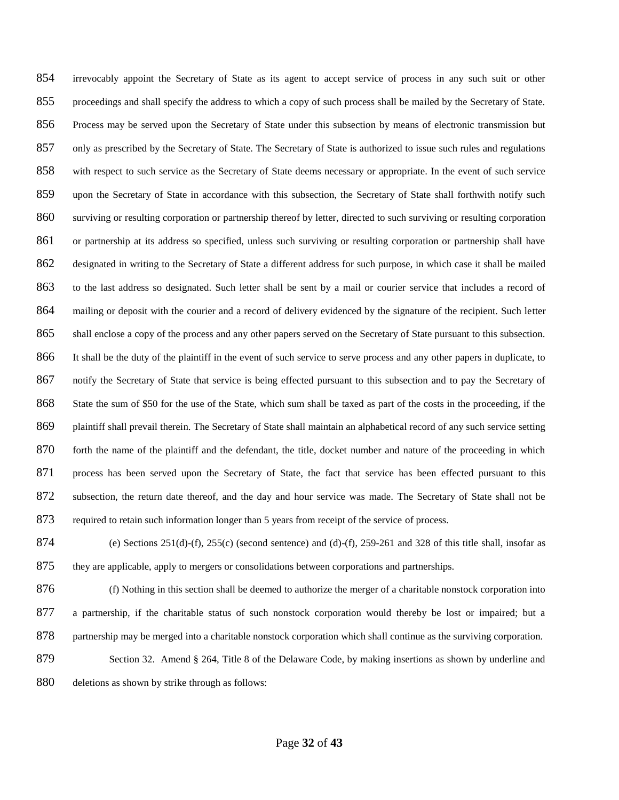irrevocably appoint the Secretary of State as its agent to accept service of process in any such suit or other proceedings and shall specify the address to which a copy of such process shall be mailed by the Secretary of State. Process may be served upon the Secretary of State under this subsection by means of electronic transmission but only as prescribed by the Secretary of State. The Secretary of State is authorized to issue such rules and regulations with respect to such service as the Secretary of State deems necessary or appropriate. In the event of such service upon the Secretary of State in accordance with this subsection, the Secretary of State shall forthwith notify such surviving or resulting corporation or partnership thereof by letter, directed to such surviving or resulting corporation or partnership at its address so specified, unless such surviving or resulting corporation or partnership shall have designated in writing to the Secretary of State a different address for such purpose, in which case it shall be mailed to the last address so designated. Such letter shall be sent by a mail or courier service that includes a record of mailing or deposit with the courier and a record of delivery evidenced by the signature of the recipient. Such letter shall enclose a copy of the process and any other papers served on the Secretary of State pursuant to this subsection. It shall be the duty of the plaintiff in the event of such service to serve process and any other papers in duplicate, to notify the Secretary of State that service is being effected pursuant to this subsection and to pay the Secretary of State the sum of \$50 for the use of the State, which sum shall be taxed as part of the costs in the proceeding, if the plaintiff shall prevail therein. The Secretary of State shall maintain an alphabetical record of any such service setting 870 forth the name of the plaintiff and the defendant, the title, docket number and nature of the proceeding in which 871 process has been served upon the Secretary of State, the fact that service has been effected pursuant to this subsection, the return date thereof, and the day and hour service was made. The Secretary of State shall not be 873 required to retain such information longer than 5 years from receipt of the service of process.

874 (e) Sections  $251(d)$ -(f),  $255(c)$  (second sentence) and (d)-(f),  $259-261$  and 328 of this title shall, insofar as 875 they are applicable, apply to mergers or consolidations between corporations and partnerships.

876 (f) Nothing in this section shall be deemed to authorize the merger of a charitable nonstock corporation into a partnership, if the charitable status of such nonstock corporation would thereby be lost or impaired; but a partnership may be merged into a charitable nonstock corporation which shall continue as the surviving corporation.

 Section 32. Amend § 264, Title 8 of the Delaware Code, by making insertions as shown by underline and 880 deletions as shown by strike through as follows: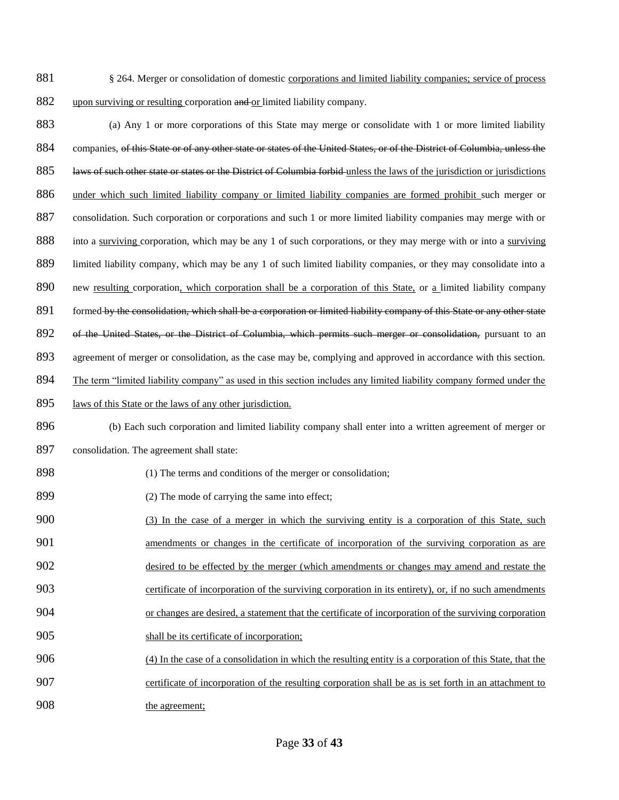881 § 264. Merger or consolidation of domestic corporations and limited liability companies; service of process 882 upon surviving or resulting corporation and or limited liability company.

883 (a) Any 1 or more corporations of this State may merge or consolidate with 1 or more limited liability 884 companies, of this State or of any other state or states of the United States, or of the District of Columbia, unless the 885 laws of such other state or states or the District of Columbia forbid unless the laws of the jurisdiction or jurisdictions under which such limited liability company or limited liability companies are formed prohibit such merger or consolidation. Such corporation or corporations and such 1 or more limited liability companies may merge with or into a surviving corporation, which may be any 1 of such corporations, or they may merge with or into a surviving limited liability company, which may be any 1 of such limited liability companies, or they may consolidate into a new resulting corporation, which corporation shall be a corporation of this State, or a limited liability company 891 formed by the consolidation, which shall be a corporation or limited liability company of this State or any other state 892 of the United States, or the District of Columbia, which permits such merger or consolidation, pursuant to an 893 agreement of merger or consolidation, as the case may be, complying and approved in accordance with this section. The term "limited liability company" as used in this section includes any limited liability company formed under the 895 laws of this State or the laws of any other jurisdiction. (b) Each such corporation and limited liability company shall enter into a written agreement of merger or 897 consolidation. The agreement shall state: 898 (1) The terms and conditions of the merger or consolidation; (2) The mode of carrying the same into effect; (3) In the case of a merger in which the surviving entity is a corporation of this State, such amendments or changes in the certificate of incorporation of the surviving corporation as are desired to be effected by the merger (which amendments or changes may amend and restate the certificate of incorporation of the surviving corporation in its entirety), or, if no such amendments or changes are desired, a statement that the certificate of incorporation of the surviving corporation shall be its certificate of incorporation; (4) In the case of a consolidation in which the resulting entity is a corporation of this State, that the certificate of incorporation of the resulting corporation shall be as is set forth in an attachment to 908 the agreement;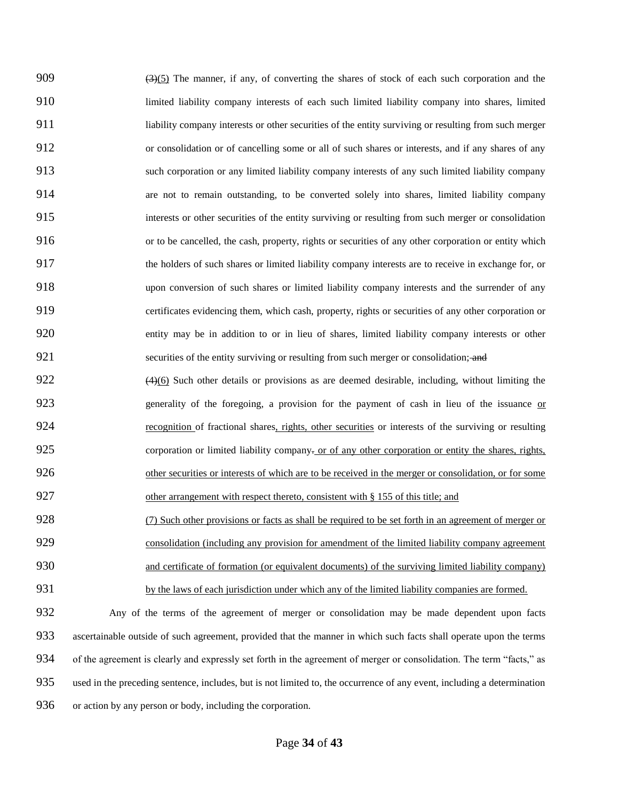$(3)(5)$  The manner, if any, of converting the shares of stock of each such corporation and the limited liability company interests of each such limited liability company into shares, limited liability company interests or other securities of the entity surviving or resulting from such merger or consolidation or of cancelling some or all of such shares or interests, and if any shares of any such corporation or any limited liability company interests of any such limited liability company are not to remain outstanding, to be converted solely into shares, limited liability company interests or other securities of the entity surviving or resulting from such merger or consolidation or to be cancelled, the cash, property, rights or securities of any other corporation or entity which the holders of such shares or limited liability company interests are to receive in exchange for, or upon conversion of such shares or limited liability company interests and the surrender of any certificates evidencing them, which cash, property, rights or securities of any other corporation or entity may be in addition to or in lieu of shares, limited liability company interests or other 921 securities of the entity surviving or resulting from such merger or consolidation; and

 (4)(6) Such other details or provisions as are deemed desirable, including, without limiting the generality of the foregoing, a provision for the payment of cash in lieu of the issuance or 924 recognition of fractional shares, rights, other securities or interests of the surviving or resulting 925 corporation or limited liability company- or of any other corporation or entity the shares, rights, other securities or interests of which are to be received in the merger or consolidation, or for some

other arrangement with respect thereto, consistent with § 155 of this title; and

 (7) Such other provisions or facts as shall be required to be set forth in an agreement of merger or consolidation (including any provision for amendment of the limited liability company agreement and certificate of formation (or equivalent documents) of the surviving limited liability company)

by the laws of each jurisdiction under which any of the limited liability companies are formed.

 Any of the terms of the agreement of merger or consolidation may be made dependent upon facts ascertainable outside of such agreement, provided that the manner in which such facts shall operate upon the terms of the agreement is clearly and expressly set forth in the agreement of merger or consolidation. The term "facts," as used in the preceding sentence, includes, but is not limited to, the occurrence of any event, including a determination 936 or action by any person or body, including the corporation.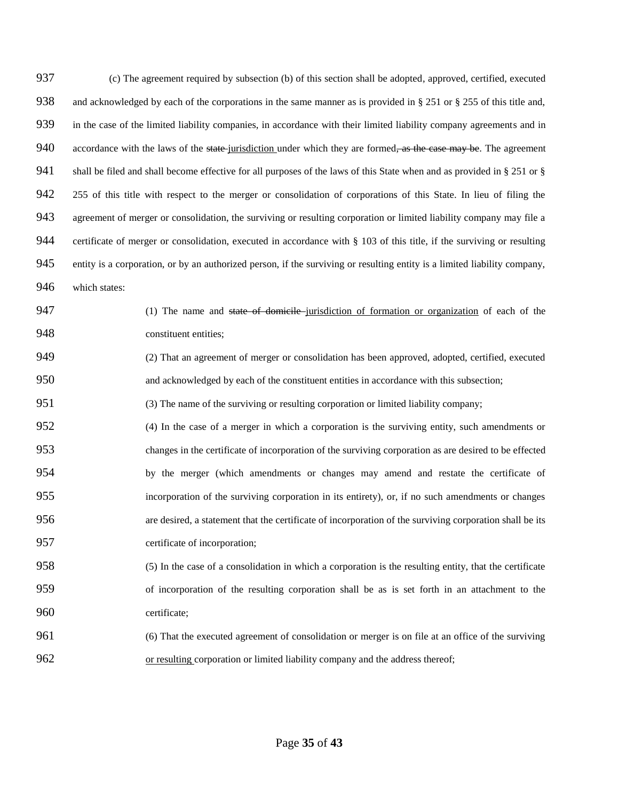(c) The agreement required by subsection (b) of this section shall be adopted, approved, certified, executed and acknowledged by each of the corporations in the same manner as is provided in § 251 or § 255 of this title and, in the case of the limited liability companies, in accordance with their limited liability company agreements and in 940 accordance with the laws of the state-jurisdiction under which they are formed, as the case may be. The agreement shall be filed and shall become effective for all purposes of the laws of this State when and as provided in § 251 or § 255 of this title with respect to the merger or consolidation of corporations of this State. In lieu of filing the agreement of merger or consolidation, the surviving or resulting corporation or limited liability company may file a certificate of merger or consolidation, executed in accordance with § 103 of this title, if the surviving or resulting entity is a corporation, or by an authorized person, if the surviving or resulting entity is a limited liability company, which states:

947 (1) The name and state of domicile jurisdiction of formation or organization of each of the constituent entities;

 (2) That an agreement of merger or consolidation has been approved, adopted, certified, executed and acknowledged by each of the constituent entities in accordance with this subsection;

(3) The name of the surviving or resulting corporation or limited liability company;

 (4) In the case of a merger in which a corporation is the surviving entity, such amendments or changes in the certificate of incorporation of the surviving corporation as are desired to be effected by the merger (which amendments or changes may amend and restate the certificate of incorporation of the surviving corporation in its entirety), or, if no such amendments or changes are desired, a statement that the certificate of incorporation of the surviving corporation shall be its certificate of incorporation;

 (5) In the case of a consolidation in which a corporation is the resulting entity, that the certificate of incorporation of the resulting corporation shall be as is set forth in an attachment to the certificate;

 (6) That the executed agreement of consolidation or merger is on file at an office of the surviving or resulting corporation or limited liability company and the address thereof;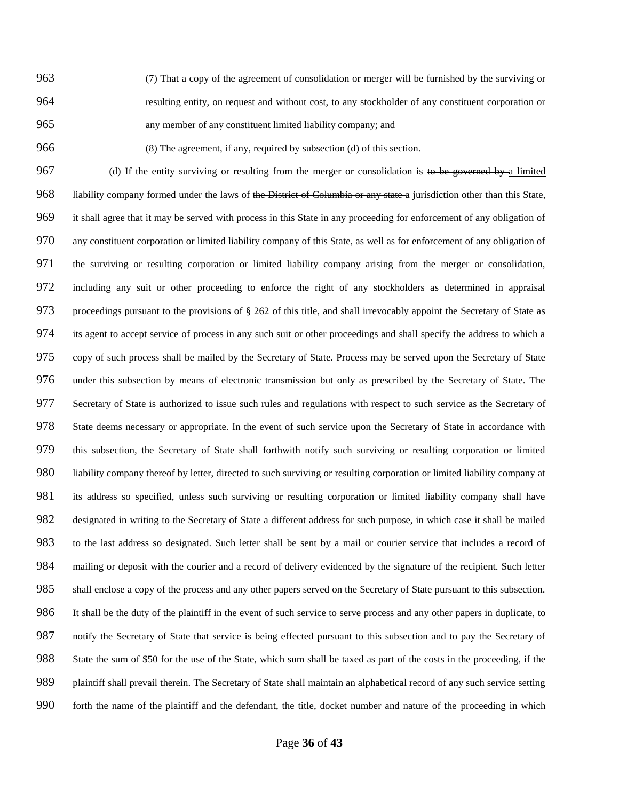(7) That a copy of the agreement of consolidation or merger will be furnished by the surviving or resulting entity, on request and without cost, to any stockholder of any constituent corporation or any member of any constituent limited liability company; and

(8) The agreement, if any, required by subsection (d) of this section.

967 (d) If the entity surviving or resulting from the merger or consolidation is to be governed by a limited 968 liability company formed under the laws of the District of Columbia or any state a jurisdiction other than this State, it shall agree that it may be served with process in this State in any proceeding for enforcement of any obligation of any constituent corporation or limited liability company of this State, as well as for enforcement of any obligation of the surviving or resulting corporation or limited liability company arising from the merger or consolidation, including any suit or other proceeding to enforce the right of any stockholders as determined in appraisal proceedings pursuant to the provisions of § 262 of this title, and shall irrevocably appoint the Secretary of State as its agent to accept service of process in any such suit or other proceedings and shall specify the address to which a copy of such process shall be mailed by the Secretary of State. Process may be served upon the Secretary of State under this subsection by means of electronic transmission but only as prescribed by the Secretary of State. The Secretary of State is authorized to issue such rules and regulations with respect to such service as the Secretary of State deems necessary or appropriate. In the event of such service upon the Secretary of State in accordance with this subsection, the Secretary of State shall forthwith notify such surviving or resulting corporation or limited liability company thereof by letter, directed to such surviving or resulting corporation or limited liability company at its address so specified, unless such surviving or resulting corporation or limited liability company shall have designated in writing to the Secretary of State a different address for such purpose, in which case it shall be mailed to the last address so designated. Such letter shall be sent by a mail or courier service that includes a record of mailing or deposit with the courier and a record of delivery evidenced by the signature of the recipient. Such letter shall enclose a copy of the process and any other papers served on the Secretary of State pursuant to this subsection. It shall be the duty of the plaintiff in the event of such service to serve process and any other papers in duplicate, to notify the Secretary of State that service is being effected pursuant to this subsection and to pay the Secretary of State the sum of \$50 for the use of the State, which sum shall be taxed as part of the costs in the proceeding, if the plaintiff shall prevail therein. The Secretary of State shall maintain an alphabetical record of any such service setting forth the name of the plaintiff and the defendant, the title, docket number and nature of the proceeding in which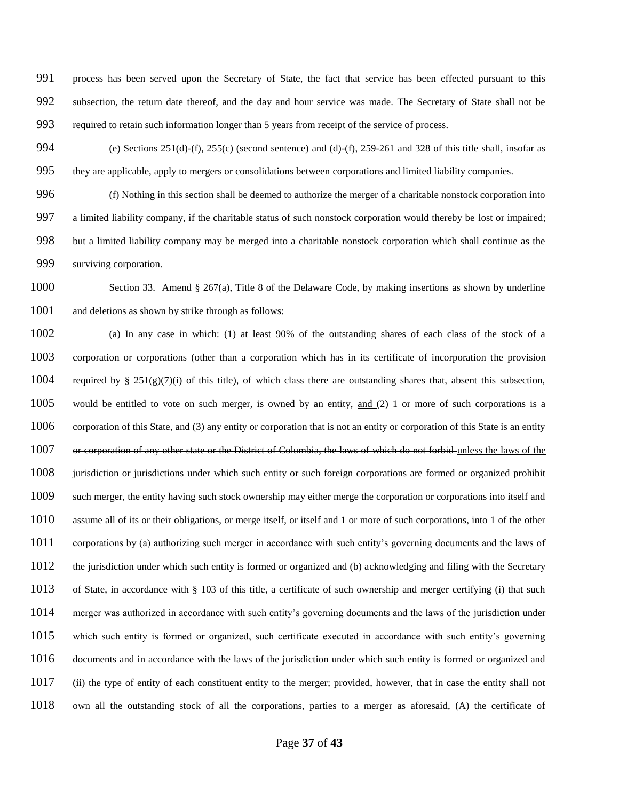process has been served upon the Secretary of State, the fact that service has been effected pursuant to this subsection, the return date thereof, and the day and hour service was made. The Secretary of State shall not be required to retain such information longer than 5 years from receipt of the service of process.

 (e) Sections 251(d)-(f), 255(c) (second sentence) and (d)-(f), 259-261 and 328 of this title shall, insofar as they are applicable, apply to mergers or consolidations between corporations and limited liability companies.

 (f) Nothing in this section shall be deemed to authorize the merger of a charitable nonstock corporation into a limited liability company, if the charitable status of such nonstock corporation would thereby be lost or impaired; but a limited liability company may be merged into a charitable nonstock corporation which shall continue as the surviving corporation.

 Section 33. Amend § 267(a), Title 8 of the Delaware Code, by making insertions as shown by underline 1001 and deletions as shown by strike through as follows:

 (a) In any case in which: (1) at least 90% of the outstanding shares of each class of the stock of a corporation or corporations (other than a corporation which has in its certificate of incorporation the provision 1004 required by § 251(g)(7)(i) of this title), of which class there are outstanding shares that, absent this subsection, 1005 would be entitled to vote on such merger, is owned by an entity,  $\frac{\text{and}(2)}{2}$  1 or more of such corporations is a 1006 corporation of this State, and (3) any entity or corporation that is not an entity or corporation of this State is an entity 1007 or corporation of any other state or the District of Columbia, the laws of which do not forbid-unless the laws of the jurisdiction or jurisdictions under which such entity or such foreign corporations are formed or organized prohibit such merger, the entity having such stock ownership may either merge the corporation or corporations into itself and assume all of its or their obligations, or merge itself, or itself and 1 or more of such corporations, into 1 of the other corporations by (a) authorizing such merger in accordance with such entity's governing documents and the laws of the jurisdiction under which such entity is formed or organized and (b) acknowledging and filing with the Secretary of State, in accordance with § 103 of this title, a certificate of such ownership and merger certifying (i) that such merger was authorized in accordance with such entity's governing documents and the laws of the jurisdiction under which such entity is formed or organized, such certificate executed in accordance with such entity's governing documents and in accordance with the laws of the jurisdiction under which such entity is formed or organized and (ii) the type of entity of each constituent entity to the merger; provided, however, that in case the entity shall not own all the outstanding stock of all the corporations, parties to a merger as aforesaid, (A) the certificate of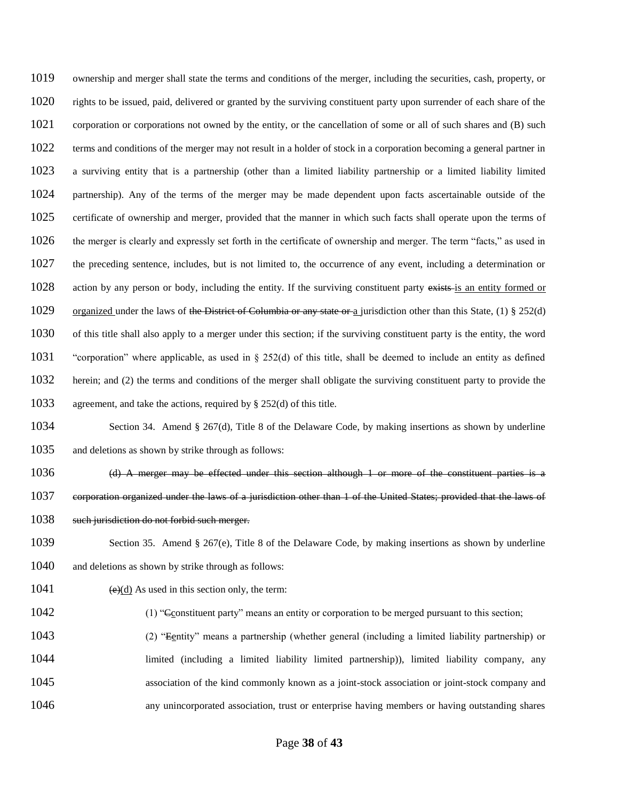ownership and merger shall state the terms and conditions of the merger, including the securities, cash, property, or rights to be issued, paid, delivered or granted by the surviving constituent party upon surrender of each share of the corporation or corporations not owned by the entity, or the cancellation of some or all of such shares and (B) such terms and conditions of the merger may not result in a holder of stock in a corporation becoming a general partner in a surviving entity that is a partnership (other than a limited liability partnership or a limited liability limited partnership). Any of the terms of the merger may be made dependent upon facts ascertainable outside of the 1025 certificate of ownership and merger, provided that the manner in which such facts shall operate upon the terms of the merger is clearly and expressly set forth in the certificate of ownership and merger. The term "facts," as used in the preceding sentence, includes, but is not limited to, the occurrence of any event, including a determination or 1028 action by any person or body, including the entity. If the surviving constituent party exists is an entity formed or 1029 organized under the laws of the District of Columbia or any state or a jurisdiction other than this State, (1) § 252(d) of this title shall also apply to a merger under this section; if the surviving constituent party is the entity, the word 1031 "corporation" where applicable, as used in  $\S$  252(d) of this title, shall be deemed to include an entity as defined herein; and (2) the terms and conditions of the merger shall obligate the surviving constituent party to provide the agreement, and take the actions, required by § 252(d) of this title.

 Section 34. Amend § 267(d), Title 8 of the Delaware Code, by making insertions as shown by underline and deletions as shown by strike through as follows:

- 1036 (d) A merger may be effected under this section although 1 or more of the constituent parties is a 1037 corporation organized under the laws of a jurisdiction other than 1 of the United States; provided that the laws of 1038 such jurisdiction do not forbid such merger.
- Section 35. Amend § 267(e), Title 8 of the Delaware Code, by making insertions as shown by underline and deletions as shown by strike through as follows:
- 1041 (e)(d) As used in this section only, the term:
- 1042 (1) "Constituent party" means an entity or corporation to be merged pursuant to this section;
- (2) "Eentity" means a partnership (whether general (including a limited liability partnership) or limited (including a limited liability limited partnership)), limited liability company, any association of the kind commonly known as a joint-stock association or joint-stock company and any unincorporated association, trust or enterprise having members or having outstanding shares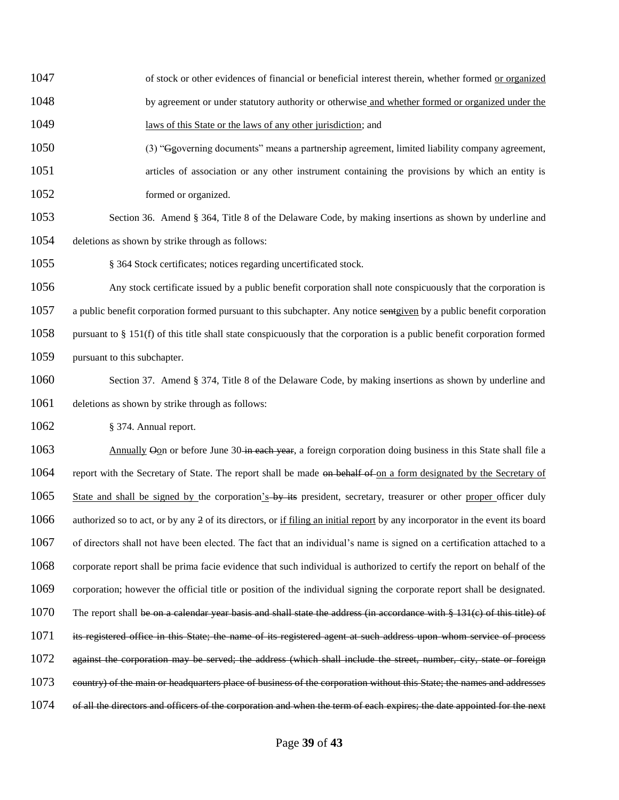- 1047 of stock or other evidences of financial or beneficial interest therein, whether formed or organized 1048 by agreement or under statutory authority or otherwise and whether formed or organized under the 1049 laws of this State or the laws of any other jurisdiction; and
- 1050 (3) "Ggoverning documents" means a partnership agreement, limited liability company agreement, 1051 articles of association or any other instrument containing the provisions by which an entity is

1052 formed or organized.

- 1053 Section 36. Amend § 364, Title 8 of the Delaware Code, by making insertions as shown by underline and 1054 deletions as shown by strike through as follows:
- 1055 § 364 Stock certificates; notices regarding uncertificated stock.

1056 Any stock certificate issued by a public benefit corporation shall note conspicuously that the corporation is 1057 a public benefit corporation formed pursuant to this subchapter. Any notice sent given by a public benefit corporation 1058 pursuant to  $\S 151(f)$  of this title shall state conspicuously that the corporation is a public benefit corporation formed 1059 pursuant to this subchapter.

1060 Section 37. Amend § 374, Title 8 of the Delaware Code, by making insertions as shown by underline and 1061 deletions as shown by strike through as follows:

1062 § 374. Annual report.

1063 Annually Oon or before June 30 in each year, a foreign corporation doing business in this State shall file a 1064 report with the Secretary of State. The report shall be made on behalf of on a form designated by the Secretary of 1065 State and shall be signed by the corporation's  $\rightarrow$  its president, secretary, treasurer or other proper officer duly 1066 authorized so to act, or by any 2 of its directors, or if filing an initial report by any incorporator in the event its board 1067 of directors shall not have been elected. The fact that an individual's name is signed on a certification attached to a 1068 corporate report shall be prima facie evidence that such individual is authorized to certify the report on behalf of the 1069 corporation; however the official title or position of the individual signing the corporate report shall be designated.  $1070$  The report shall be on a calendar year basis and shall state the address (in accordance with  $\frac{1}{2}$  131(c) of this title) of 1071 its registered office in this State; the name of its registered agent at such address upon whom service of process 1072 against the corporation may be served; the address (which shall include the street, number, city, state or foreign  $1073$  country) of the main or headquarters place of business of the corporation without this State; the names and addresses 1074 of all the directors and officers of the corporation and when the term of each expires; the date appointed for the next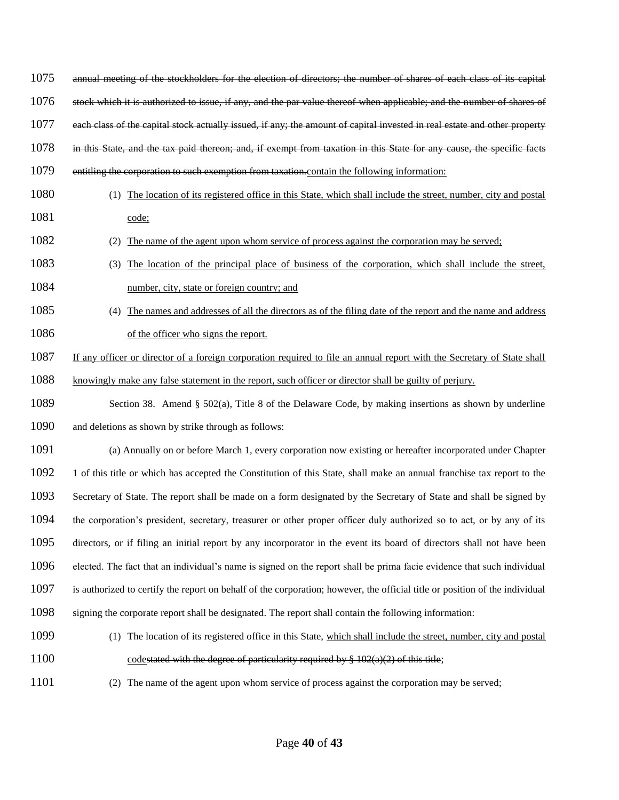- 1075 annual meeting of the stockholders for the election of directors; the number of shares of each class of its capital
- 1076 stock which it is authorized to issue, if any, and the par value thereof when applicable; and the number of shares of
- 1077 each class of the capital stock actually issued, if any; the amount of capital invested in real estate and other property
- 1078 in this State, and the tax paid thereon; and, if exempt from taxation in this State for any cause, the specific facts
- 1079 entitling the corporation to such exemption from taxation. contain the following information:
- (1) The location of its registered office in this State, which shall include the street, number, city and postal 1081 code;
- (2) The name of the agent upon whom service of process against the corporation may be served;
- (3) The location of the principal place of business of the corporation, which shall include the street, 1084 number, city, state or foreign country; and
- (4) The names and addresses of all the directors as of the filing date of the report and the name and address 1086 of the officer who signs the report.
- If any officer or director of a foreign corporation required to file an annual report with the Secretary of State shall knowingly make any false statement in the report, such officer or director shall be guilty of perjury.
- Section 38. Amend § 502(a), Title 8 of the Delaware Code, by making insertions as shown by underline and deletions as shown by strike through as follows:
- (a) Annually on or before March 1, every corporation now existing or hereafter incorporated under Chapter 1 of this title or which has accepted the Constitution of this State, shall make an annual franchise tax report to the Secretary of State. The report shall be made on a form designated by the Secretary of State and shall be signed by the corporation's president, secretary, treasurer or other proper officer duly authorized so to act, or by any of its directors, or if filing an initial report by any incorporator in the event its board of directors shall not have been elected. The fact that an individual's name is signed on the report shall be prima facie evidence that such individual is authorized to certify the report on behalf of the corporation; however, the official title or position of the individual signing the corporate report shall be designated. The report shall contain the following information:
- (1) The location of its registered office in this State, which shall include the street, number, city and postal
	- 1100 codestated with the degree of particularity required by  $\frac{8}{3}$  102(a)(2) of this title;
- 
- (2) The name of the agent upon whom service of process against the corporation may be served;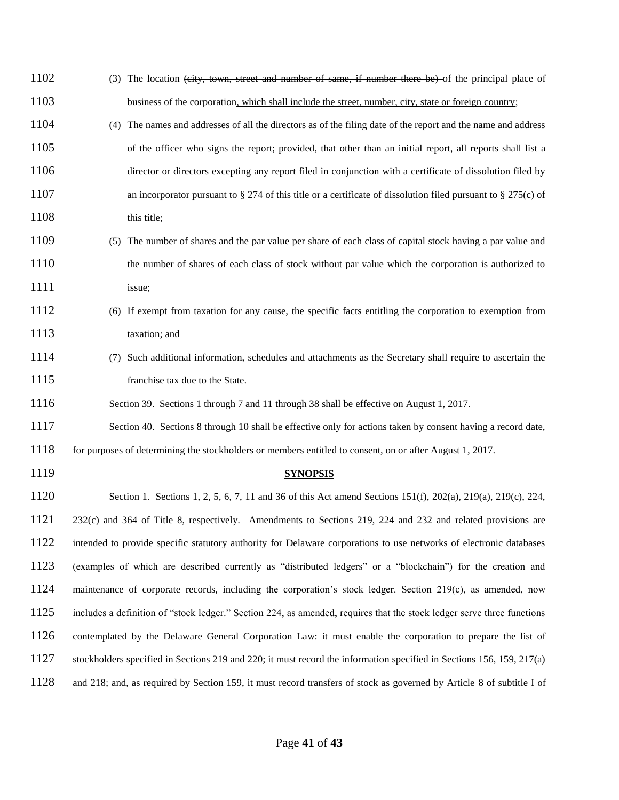- 1102 (3) The location (city, town, street and number of same, if number there be) of the principal place of 1103 business of the corporation, which shall include the street, number, city, state or foreign country;
- (4) The names and addresses of all the directors as of the filing date of the report and the name and address of the officer who signs the report; provided, that other than an initial report, all reports shall list a director or directors excepting any report filed in conjunction with a certificate of dissolution filed by 1107 an incorporator pursuant to § 274 of this title or a certificate of dissolution filed pursuant to § 275(c) of 1108 this title;
- (5) The number of shares and the par value per share of each class of capital stock having a par value and the number of shares of each class of stock without par value which the corporation is authorized to issue;
- (6) If exempt from taxation for any cause, the specific facts entitling the corporation to exemption from taxation; and
- (7) Such additional information, schedules and attachments as the Secretary shall require to ascertain the **franchise tax due to the State.**
- Section 39. Sections 1 through 7 and 11 through 38 shall be effective on August 1, 2017.

Section 40. Sections 8 through 10 shall be effective only for actions taken by consent having a record date,

for purposes of determining the stockholders or members entitled to consent, on or after August 1, 2017.

### **SYNOPSIS**

 Section 1. Sections 1, 2, 5, 6, 7, 11 and 36 of this Act amend Sections 151(f), 202(a), 219(a), 219(c), 224, 232(c) and 364 of Title 8, respectively. Amendments to Sections 219, 224 and 232 and related provisions are 1122 intended to provide specific statutory authority for Delaware corporations to use networks of electronic databases (examples of which are described currently as "distributed ledgers" or a "blockchain") for the creation and maintenance of corporate records, including the corporation's stock ledger. Section 219(c), as amended, now includes a definition of "stock ledger." Section 224, as amended, requires that the stock ledger serve three functions contemplated by the Delaware General Corporation Law: it must enable the corporation to prepare the list of stockholders specified in Sections 219 and 220; it must record the information specified in Sections 156, 159, 217(a) and 218; and, as required by Section 159, it must record transfers of stock as governed by Article 8 of subtitle I of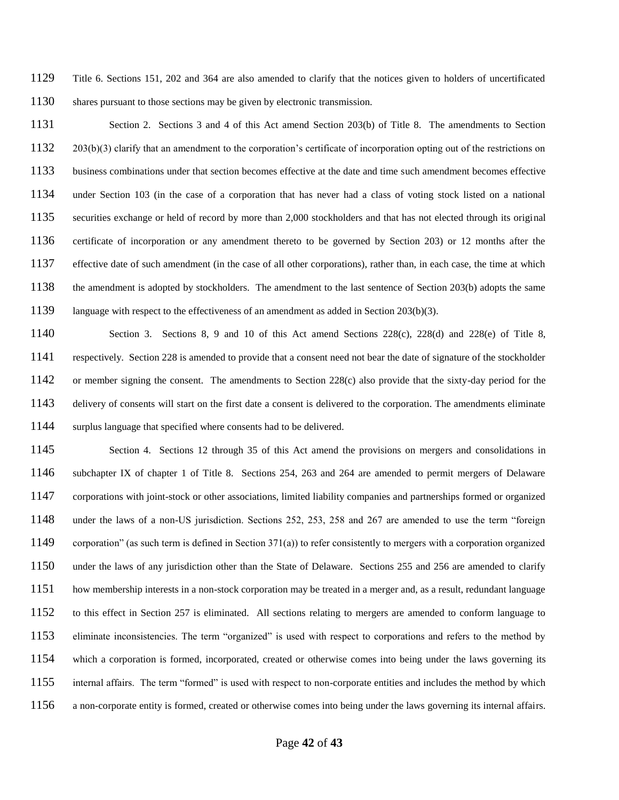Title 6. Sections 151, 202 and 364 are also amended to clarify that the notices given to holders of uncertificated 1130 shares pursuant to those sections may be given by electronic transmission.

 Section 2. Sections 3 and 4 of this Act amend Section 203(b) of Title 8. The amendments to Section 1132 203(b)(3) clarify that an amendment to the corporation's certificate of incorporation opting out of the restrictions on business combinations under that section becomes effective at the date and time such amendment becomes effective under Section 103 (in the case of a corporation that has never had a class of voting stock listed on a national securities exchange or held of record by more than 2,000 stockholders and that has not elected through its original certificate of incorporation or any amendment thereto to be governed by Section 203) or 12 months after the effective date of such amendment (in the case of all other corporations), rather than, in each case, the time at which 1138 the amendment is adopted by stockholders. The amendment to the last sentence of Section 203(b) adopts the same 1139 language with respect to the effectiveness of an amendment as added in Section 203(b)(3).

 Section 3. Sections 8, 9 and 10 of this Act amend Sections 228(c), 228(d) and 228(e) of Title 8, respectively. Section 228 is amended to provide that a consent need not bear the date of signature of the stockholder or member signing the consent. The amendments to Section 228(c) also provide that the sixty-day period for the delivery of consents will start on the first date a consent is delivered to the corporation. The amendments eliminate 1144 surplus language that specified where consents had to be delivered.

 Section 4. Sections 12 through 35 of this Act amend the provisions on mergers and consolidations in subchapter IX of chapter 1 of Title 8. Sections 254, 263 and 264 are amended to permit mergers of Delaware corporations with joint-stock or other associations, limited liability companies and partnerships formed or organized under the laws of a non-US jurisdiction. Sections 252, 253, 258 and 267 are amended to use the term "foreign corporation" (as such term is defined in Section 371(a)) to refer consistently to mergers with a corporation organized 1150 under the laws of any jurisdiction other than the State of Delaware. Sections 255 and 256 are amended to clarify how membership interests in a non-stock corporation may be treated in a merger and, as a result, redundant language to this effect in Section 257 is eliminated. All sections relating to mergers are amended to conform language to eliminate inconsistencies. The term "organized" is used with respect to corporations and refers to the method by which a corporation is formed, incorporated, created or otherwise comes into being under the laws governing its internal affairs. The term "formed" is used with respect to non-corporate entities and includes the method by which 1156 a non-corporate entity is formed, created or otherwise comes into being under the laws governing its internal affairs.